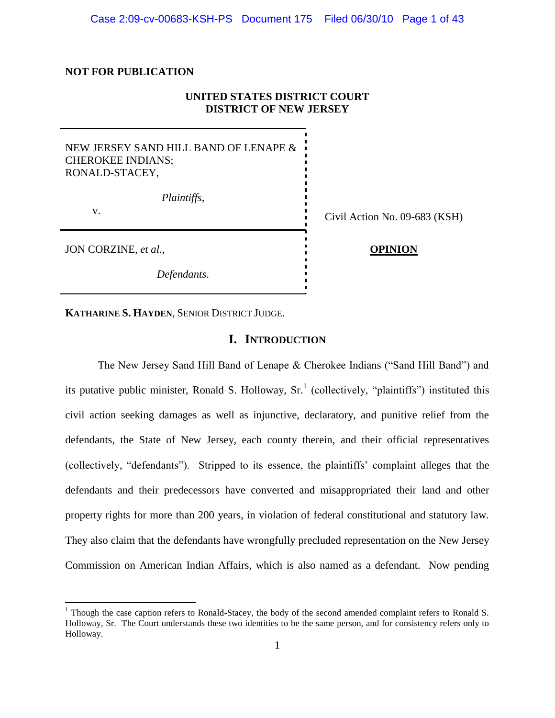### **NOT FOR PUBLICATION**

## **UNITED STATES DISTRICT COURT DISTRICT OF NEW JERSEY**

## NEW JERSEY SAND HILL BAND OF LENAPE & CHEROKEE INDIANS; RONALD-STACEY,

*Plaintiffs*,

v.<br>
Civil Action No. 09-683 (KSH)

JON CORZINE, *et al.*, **OPINION**

 $\overline{\phantom{a}}$ 

*Defendants*.

**KATHARINE S. HAYDEN**, SENIOR DISTRICT JUDGE.

## **I. INTRODUCTION**

The New Jersey Sand Hill Band of Lenape & Cherokee Indians ("Sand Hill Band") and its putative public minister, Ronald S. Holloway,  $Sr<sup>1</sup>$  (collectively, "plaintiffs") instituted this civil action seeking damages as well as injunctive, declaratory, and punitive relief from the defendants, the State of New Jersey, each county therein, and their official representatives (collectively, "defendants"). Stripped to its essence, the plaintiffs" complaint alleges that the defendants and their predecessors have converted and misappropriated their land and other property rights for more than 200 years, in violation of federal constitutional and statutory law. They also claim that the defendants have wrongfully precluded representation on the New Jersey Commission on American Indian Affairs, which is also named as a defendant. Now pending

<sup>&</sup>lt;sup>1</sup> Though the case caption refers to Ronald-Stacey, the body of the second amended complaint refers to Ronald S. Holloway, Sr. The Court understands these two identities to be the same person, and for consistency refers only to Holloway.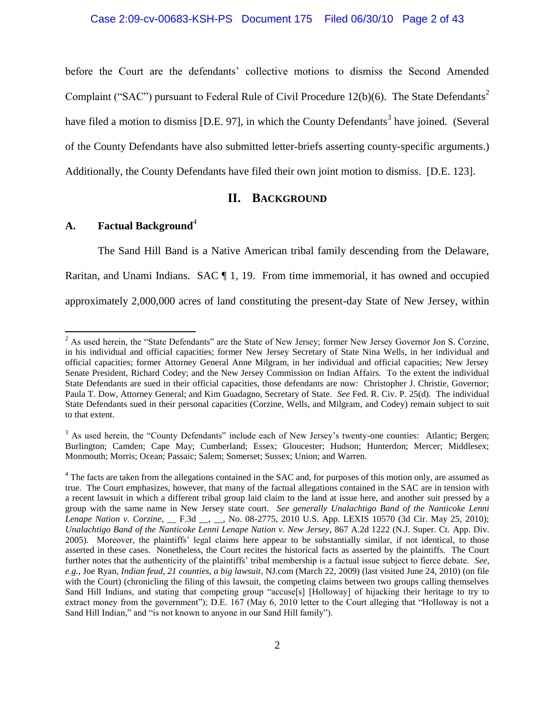before the Court are the defendants' collective motions to dismiss the Second Amended Complaint ("SAC") pursuant to Federal Rule of Civil Procedure  $12(b)(6)$ . The State Defendants<sup>2</sup> have filed a motion to dismiss [D.E. 97], in which the County Defendants<sup>3</sup> have joined. (Several of the County Defendants have also submitted letter-briefs asserting county-specific arguments.) Additionally, the County Defendants have filed their own joint motion to dismiss. [D.E. 123].

## **II. BACKGROUND**

## **A. Factual Background**<sup>4</sup>

 $\overline{a}$ 

The Sand Hill Band is a Native American tribal family descending from the Delaware, Raritan, and Unami Indians.  $SAC \parallel 1$ , 19. From time immemorial, it has owned and occupied approximately 2,000,000 acres of land constituting the present-day State of New Jersey, within

 $2^2$  As used herein, the "State Defendants" are the State of New Jersey; former New Jersey Governor Jon S. Corzine, in his individual and official capacities; former New Jersey Secretary of State Nina Wells, in her individual and official capacities; former Attorney General Anne Milgram, in her individual and official capacities; New Jersey Senate President, Richard Codey; and the New Jersey Commission on Indian Affairs. To the extent the individual State Defendants are sued in their official capacities, those defendants are now: Christopher J. Christie, Governor; Paula T. Dow, Attorney General; and Kim Guadagno, Secretary of State. *See* Fed. R. Civ. P. 25(d). The individual State Defendants sued in their personal capacities (Corzine, Wells, and Milgram, and Codey) remain subject to suit to that extent.

<sup>&</sup>lt;sup>3</sup> As used herein, the "County Defendants" include each of New Jersey's twenty-one counties: Atlantic: Bergen; Burlington; Camden; Cape May; Cumberland; Essex; Gloucester; Hudson; Hunterdon; Mercer; Middlesex; Monmouth; Morris; Ocean; Passaic; Salem; Somerset; Sussex; Union; and Warren.

<sup>&</sup>lt;sup>4</sup> The facts are taken from the allegations contained in the SAC and, for purposes of this motion only, are assumed as true. The Court emphasizes, however, that many of the factual allegations contained in the SAC are in tension with a recent lawsuit in which a different tribal group laid claim to the land at issue here, and another suit pressed by a group with the same name in New Jersey state court. *See generally Unalachtigo Band of the Nanticoke Lenni Lenape Nation v. Corzine*, \_\_ F.3d \_\_, \_\_, No. 08-2775, 2010 U.S. App. LEXIS 10570 (3d Cir. May 25, 2010); *Unalachtigo Band of the Nanticoke Lenni Lenape Nation v. New Jersey*, 867 A.2d 1222 (N.J. Super. Ct. App. Div. 2005). Moreover, the plaintiffs" legal claims here appear to be substantially similar, if not identical, to those asserted in these cases. Nonetheless, the Court recites the historical facts as asserted by the plaintiffs. The Court further notes that the authenticity of the plaintiffs" tribal membership is a factual issue subject to fierce debate. *See, e.g.*, Joe Ryan, *Indian feud, 21 counties, a big lawsuit*, NJ.com (March 22, 2009) (last visited June 24, 2010) (on file with the Court) (chronicling the filing of this lawsuit, the competing claims between two groups calling themselves Sand Hill Indians, and stating that competing group "accuse[s] [Holloway] of hijacking their heritage to try to extract money from the government"); D.E. 167 (May 6, 2010 letter to the Court alleging that "Holloway is not a Sand Hill Indian," and "is not known to anyone in our Sand Hill family").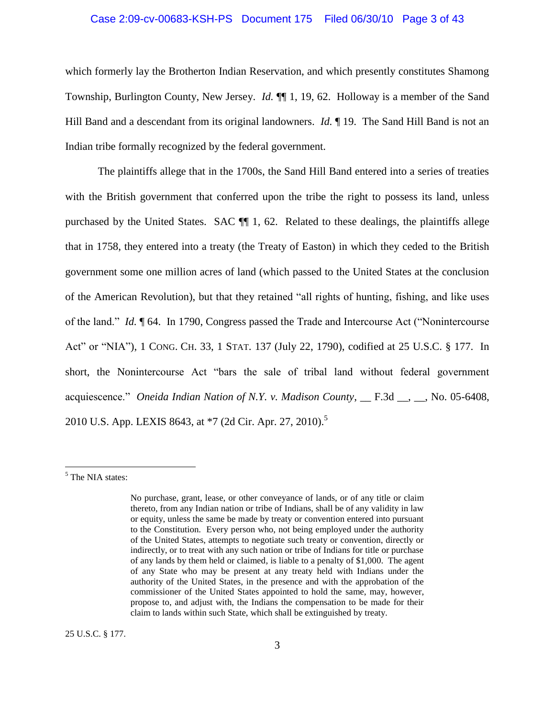#### Case 2:09-cv-00683-KSH-PS Document 175 Filed 06/30/10 Page 3 of 43

which formerly lay the Brotherton Indian Reservation, and which presently constitutes Shamong Township, Burlington County, New Jersey. *Id.* ¶¶ 1, 19, 62. Holloway is a member of the Sand Hill Band and a descendant from its original landowners. *Id.* ¶ 19. The Sand Hill Band is not an Indian tribe formally recognized by the federal government.

The plaintiffs allege that in the 1700s, the Sand Hill Band entered into a series of treaties with the British government that conferred upon the tribe the right to possess its land, unless purchased by the United States. SAC ¶¶ 1, 62. Related to these dealings, the plaintiffs allege that in 1758, they entered into a treaty (the Treaty of Easton) in which they ceded to the British government some one million acres of land (which passed to the United States at the conclusion of the American Revolution), but that they retained "all rights of hunting, fishing, and like uses of the land." *Id.* ¶ 64. In 1790, Congress passed the Trade and Intercourse Act ("Nonintercourse Act" or "NIA"), 1 CONG. CH. 33, 1 STAT. 137 (July 22, 1790), codified at 25 U.S.C. § 177. In short, the Nonintercourse Act "bars the sale of tribal land without federal government acquiescence." *Oneida Indian Nation of N.Y. v. Madison County*, \_\_ F.3d \_\_, \_\_, No. 05-6408, 2010 U.S. App. LEXIS 8643, at \*7 (2d Cir. Apr. 27, 2010).<sup>5</sup>

 $\overline{\phantom{a}}$ 

25 U.S.C. § 177.

<sup>&</sup>lt;sup>5</sup> The NIA states:

No purchase, grant, lease, or other conveyance of lands, or of any title or claim thereto, from any Indian nation or tribe of Indians, shall be of any validity in law or equity, unless the same be made by treaty or convention entered into pursuant to the Constitution. Every person who, not being employed under the authority of the United States, attempts to negotiate such treaty or convention, directly or indirectly, or to treat with any such nation or tribe of Indians for title or purchase of any lands by them held or claimed, is liable to a penalty of \$1,000. The agent of any State who may be present at any treaty held with Indians under the authority of the United States, in the presence and with the approbation of the commissioner of the United States appointed to hold the same, may, however, propose to, and adjust with, the Indians the compensation to be made for their claim to lands within such State, which shall be extinguished by treaty.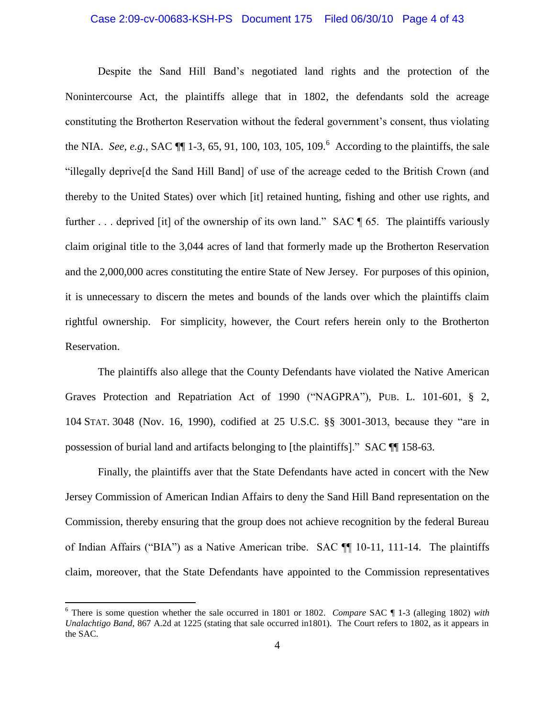#### Case 2:09-cv-00683-KSH-PS Document 175 Filed 06/30/10 Page 4 of 43

Despite the Sand Hill Band"s negotiated land rights and the protection of the Nonintercourse Act, the plaintiffs allege that in 1802, the defendants sold the acreage constituting the Brotherton Reservation without the federal government"s consent, thus violating the NIA. *See, e.g.*, SAC  $\P$  1-3, 65, 91, 100, 103, 105, 109.<sup>6</sup> According to the plaintiffs, the sale "illegally deprive[d the Sand Hill Band] of use of the acreage ceded to the British Crown (and thereby to the United States) over which [it] retained hunting, fishing and other use rights, and further ... deprived [it] of the ownership of its own land." SAC ¶ 65. The plaintiffs variously claim original title to the 3,044 acres of land that formerly made up the Brotherton Reservation and the 2,000,000 acres constituting the entire State of New Jersey. For purposes of this opinion, it is unnecessary to discern the metes and bounds of the lands over which the plaintiffs claim rightful ownership. For simplicity, however, the Court refers herein only to the Brotherton Reservation.

The plaintiffs also allege that the County Defendants have violated the Native American Graves Protection and Repatriation Act of 1990 ("NAGPRA"), PUB. L. 101-601, § 2, 104 STAT. 3048 (Nov. 16, 1990), codified at 25 U.S.C. §§ 3001-3013, because they "are in possession of burial land and artifacts belonging to [the plaintiffs]." SAC ¶¶ 158-63.

Finally, the plaintiffs aver that the State Defendants have acted in concert with the New Jersey Commission of American Indian Affairs to deny the Sand Hill Band representation on the Commission, thereby ensuring that the group does not achieve recognition by the federal Bureau of Indian Affairs ("BIA") as a Native American tribe. SAC ¶¶ 10-11, 111-14. The plaintiffs claim, moreover, that the State Defendants have appointed to the Commission representatives

<sup>6</sup> There is some question whether the sale occurred in 1801 or 1802. *Compare* SAC ¶ 1-3 (alleging 1802) *with Unalachtigo Band*, 867 A.2d at 1225 (stating that sale occurred in1801). The Court refers to 1802, as it appears in the SAC.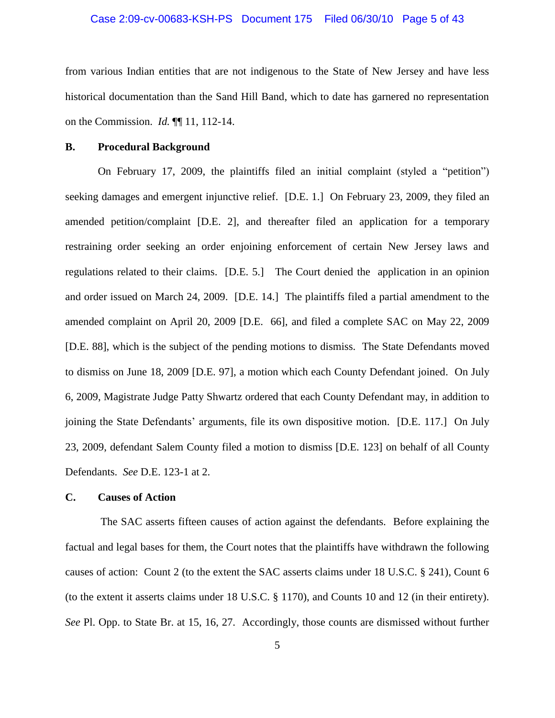#### Case 2:09-cv-00683-KSH-PS Document 175 Filed 06/30/10 Page 5 of 43

from various Indian entities that are not indigenous to the State of New Jersey and have less historical documentation than the Sand Hill Band, which to date has garnered no representation on the Commission. *Id.* ¶¶ 11, 112-14.

#### **B. Procedural Background**

On February 17, 2009, the plaintiffs filed an initial complaint (styled a "petition") seeking damages and emergent injunctive relief. [D.E. 1.] On February 23, 2009, they filed an amended petition/complaint [D.E. 2], and thereafter filed an application for a temporary restraining order seeking an order enjoining enforcement of certain New Jersey laws and regulations related to their claims. [D.E. 5.] The Court denied the application in an opinion and order issued on March 24, 2009. [D.E. 14.] The plaintiffs filed a partial amendment to the amended complaint on April 20, 2009 [D.E. 66], and filed a complete SAC on May 22, 2009 [D.E. 88], which is the subject of the pending motions to dismiss. The State Defendants moved to dismiss on June 18, 2009 [D.E. 97], a motion which each County Defendant joined. On July 6, 2009, Magistrate Judge Patty Shwartz ordered that each County Defendant may, in addition to joining the State Defendants" arguments, file its own dispositive motion. [D.E. 117.] On July 23, 2009, defendant Salem County filed a motion to dismiss [D.E. 123] on behalf of all County Defendants. *See* D.E. 123-1 at 2.

#### **C. Causes of Action**

The SAC asserts fifteen causes of action against the defendants. Before explaining the factual and legal bases for them, the Court notes that the plaintiffs have withdrawn the following causes of action: Count 2 (to the extent the SAC asserts claims under 18 U.S.C. § 241), Count 6 (to the extent it asserts claims under 18 U.S.C. § 1170), and Counts 10 and 12 (in their entirety). *See* Pl. Opp. to State Br. at 15, 16, 27. Accordingly, those counts are dismissed without further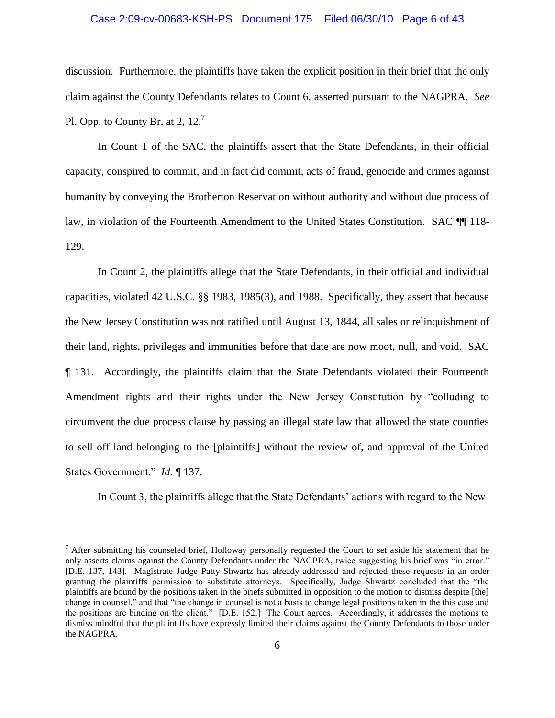## Case 2:09-cv-00683-KSH-PS Document 175 Filed 06/30/10 Page 6 of 43

discussion. Furthermore, the plaintiffs have taken the explicit position in their brief that the only claim against the County Defendants relates to Count 6, asserted pursuant to the NAGPRA. *See*  Pl. Opp. to County Br. at 2,  $12<sup>7</sup>$ 

In Count 1 of the SAC, the plaintiffs assert that the State Defendants, in their official capacity, conspired to commit, and in fact did commit, acts of fraud, genocide and crimes against humanity by conveying the Brotherton Reservation without authority and without due process of law, in violation of the Fourteenth Amendment to the United States Constitution. SAC  $\P$  118-129.

In Count 2, the plaintiffs allege that the State Defendants, in their official and individual capacities, violated 42 U.S.C. §§ 1983, 1985(3), and 1988. Specifically, they assert that because the New Jersey Constitution was not ratified until August 13, 1844, all sales or relinquishment of their land, rights, privileges and immunities before that date are now moot, null, and void. SAC ¶ 131. Accordingly, the plaintiffs claim that the State Defendants violated their Fourteenth Amendment rights and their rights under the New Jersey Constitution by "colluding to circumvent the due process clause by passing an illegal state law that allowed the state counties to sell off land belonging to the [plaintiffs] without the review of, and approval of the United States Government." *Id.* ¶ 137.

In Count 3, the plaintiffs allege that the State Defendants" actions with regard to the New

 $<sup>7</sup>$  After submitting his counseled brief, Holloway personally requested the Court to set aside his statement that he</sup> only asserts claims against the County Defendants under the NAGPRA, twice suggesting his brief was "in error." [D.E. 137, 143]. Magistrate Judge Patty Shwartz has already addressed and rejected these requests in an order granting the plaintiffs permission to substitute attorneys. Specifically, Judge Shwartz concluded that the "the plaintiffs are bound by the positions taken in the briefs submitted in opposition to the motion to dismiss despite [the] change in counsel," and that "the change in counsel is not a basis to change legal positions taken in the this case and the positions are binding on the client." [D.E. 152.] The Court agrees. Accordingly, it addresses the motions to dismiss mindful that the plaintiffs have expressly limited their claims against the County Defendants to those under the NAGPRA.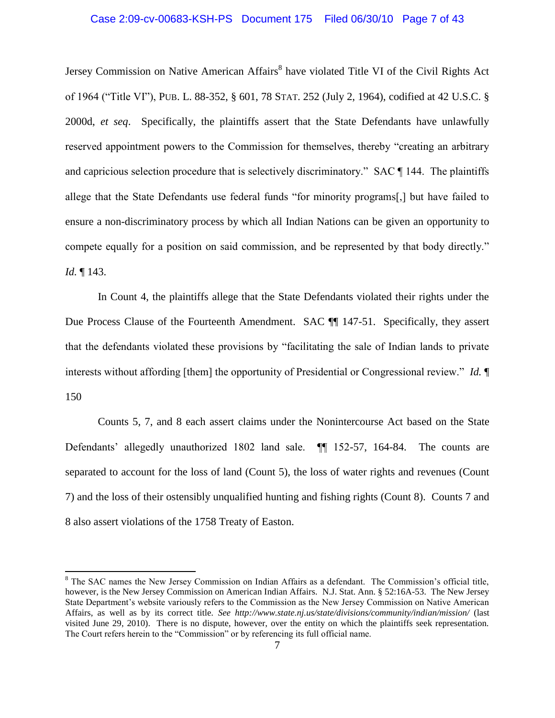## Case 2:09-cv-00683-KSH-PS Document 175 Filed 06/30/10 Page 7 of 43

Jersey Commission on Native American Affairs<sup>8</sup> have violated Title VI of the Civil Rights Act of 1964 ("Title VI"), PUB. L. 88-352, § 601, 78 STAT. 252 (July 2, 1964), codified at 42 U.S.C. § 2000d, *et seq*. Specifically, the plaintiffs assert that the State Defendants have unlawfully reserved appointment powers to the Commission for themselves, thereby "creating an arbitrary and capricious selection procedure that is selectively discriminatory." SAC ¶ 144. The plaintiffs allege that the State Defendants use federal funds "for minority programs[,] but have failed to ensure a non-discriminatory process by which all Indian Nations can be given an opportunity to compete equally for a position on said commission, and be represented by that body directly." *Id.* ¶ 143.

In Count 4, the plaintiffs allege that the State Defendants violated their rights under the Due Process Clause of the Fourteenth Amendment. SAC  $\P$  147-51. Specifically, they assert that the defendants violated these provisions by "facilitating the sale of Indian lands to private interests without affording [them] the opportunity of Presidential or Congressional review." *Id.* ¶ 150

Counts 5, 7, and 8 each assert claims under the Nonintercourse Act based on the State Defendants' allegedly unauthorized 1802 land sale. **[1]** 152-57, 164-84. The counts are separated to account for the loss of land (Count 5), the loss of water rights and revenues (Count 7) and the loss of their ostensibly unqualified hunting and fishing rights (Count 8). Counts 7 and 8 also assert violations of the 1758 Treaty of Easton.

<sup>&</sup>lt;sup>8</sup> The SAC names the New Jersey Commission on Indian Affairs as a defendant. The Commission's official title, however, is the New Jersey Commission on American Indian Affairs. N.J. Stat. Ann. § 52:16A-53. The New Jersey State Department"s website variously refers to the Commission as the New Jersey Commission on Native American Affairs, as well as by its correct title. *See http://www.state.nj.us/state/divisions/community/indian/mission/* (last visited June 29, 2010). There is no dispute, however, over the entity on which the plaintiffs seek representation. The Court refers herein to the "Commission" or by referencing its full official name.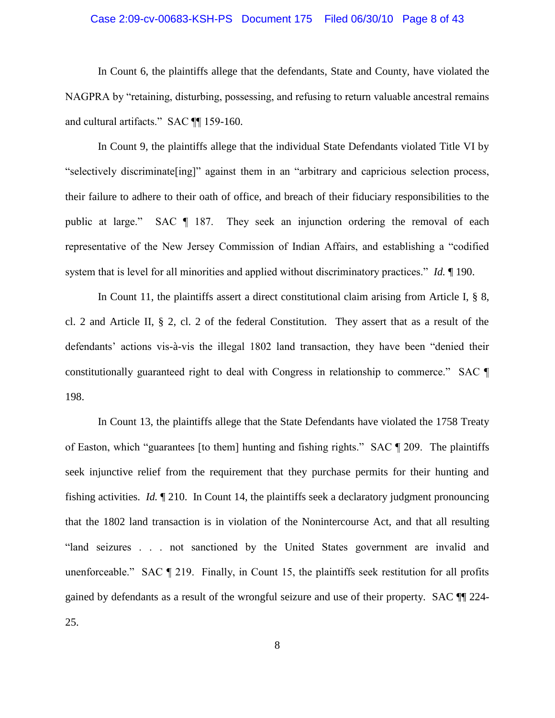#### Case 2:09-cv-00683-KSH-PS Document 175 Filed 06/30/10 Page 8 of 43

In Count 6, the plaintiffs allege that the defendants, State and County, have violated the NAGPRA by "retaining, disturbing, possessing, and refusing to return valuable ancestral remains and cultural artifacts." SAC ¶¶ 159-160.

In Count 9, the plaintiffs allege that the individual State Defendants violated Title VI by "selectively discriminate[ing]" against them in an "arbitrary and capricious selection process, their failure to adhere to their oath of office, and breach of their fiduciary responsibilities to the public at large." SAC ¶ 187. They seek an injunction ordering the removal of each representative of the New Jersey Commission of Indian Affairs, and establishing a "codified system that is level for all minorities and applied without discriminatory practices." *Id.* ¶ 190.

In Count 11, the plaintiffs assert a direct constitutional claim arising from Article I, § 8, cl. 2 and Article II, § 2, cl. 2 of the federal Constitution. They assert that as a result of the defendants" actions vis-à-vis the illegal 1802 land transaction, they have been "denied their constitutionally guaranteed right to deal with Congress in relationship to commerce." SAC ¶ 198.

In Count 13, the plaintiffs allege that the State Defendants have violated the 1758 Treaty of Easton, which "guarantees [to them] hunting and fishing rights." SAC ¶ 209. The plaintiffs seek injunctive relief from the requirement that they purchase permits for their hunting and fishing activities. *Id.* ¶ 210. In Count 14, the plaintiffs seek a declaratory judgment pronouncing that the 1802 land transaction is in violation of the Nonintercourse Act, and that all resulting "land seizures . . . not sanctioned by the United States government are invalid and unenforceable." SAC ¶ 219. Finally, in Count 15, the plaintiffs seek restitution for all profits gained by defendants as a result of the wrongful seizure and use of their property. SAC ¶¶ 224- 25.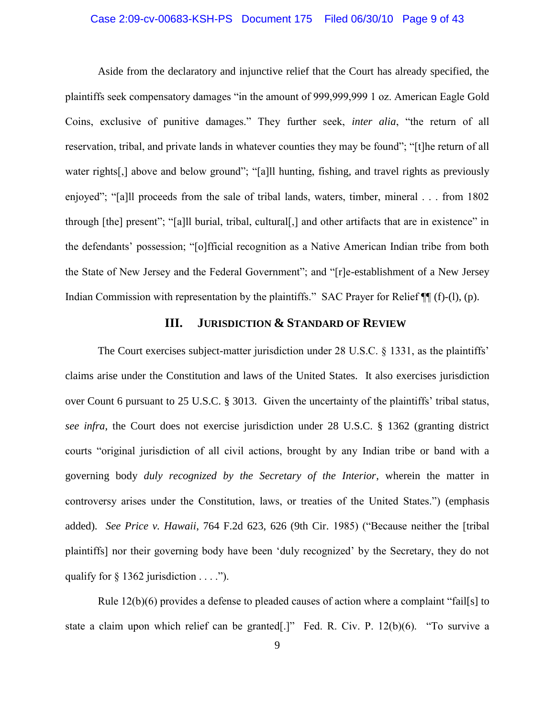#### Case 2:09-cv-00683-KSH-PS Document 175 Filed 06/30/10 Page 9 of 43

Aside from the declaratory and injunctive relief that the Court has already specified, the plaintiffs seek compensatory damages "in the amount of 999,999,999 1 oz. American Eagle Gold Coins, exclusive of punitive damages." They further seek, *inter alia*, "the return of all reservation, tribal, and private lands in whatever counties they may be found"; "[t]he return of all water rights[,] above and below ground"; "[a]ll hunting, fishing, and travel rights as previously enjoyed"; "[a]ll proceeds from the sale of tribal lands, waters, timber, mineral . . . from 1802 through [the] present"; "[a]ll burial, tribal, cultural[,] and other artifacts that are in existence" in the defendants" possession; "[o]fficial recognition as a Native American Indian tribe from both the State of New Jersey and the Federal Government"; and "[r]e-establishment of a New Jersey Indian Commission with representation by the plaintiffs." SAC Prayer for Relief  $\P$  (f)-(l), (p).

## **III. JURISDICTION & STANDARD OF REVIEW**

The Court exercises subject-matter jurisdiction under 28 U.S.C. § 1331, as the plaintiffs' claims arise under the Constitution and laws of the United States. It also exercises jurisdiction over Count 6 pursuant to 25 U.S.C. § 3013. Given the uncertainty of the plaintiffs" tribal status, *see infra*, the Court does not exercise jurisdiction under 28 U.S.C. § 1362 (granting district courts "original jurisdiction of all civil actions, brought by any Indian tribe or band with a governing body *duly recognized by the Secretary of the Interior*, wherein the matter in controversy arises under the Constitution, laws, or treaties of the United States.") (emphasis added). *See Price v. Hawaii*, 764 F.2d 623, 626 (9th Cir. 1985) ("Because neither the [tribal plaintiffs] nor their governing body have been "duly recognized" by the Secretary, they do not qualify for  $\S$  1362 jurisdiction  $\dots$  .").

Rule 12(b)(6) provides a defense to pleaded causes of action where a complaint "fail[s] to state a claim upon which relief can be granted[.]" Fed. R. Civ. P. 12(b)(6). "To survive a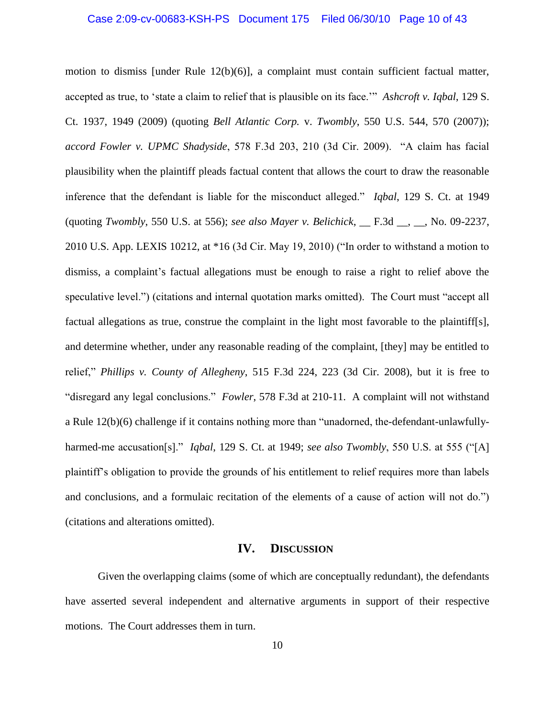#### Case 2:09-cv-00683-KSH-PS Document 175 Filed 06/30/10 Page 10 of 43

motion to dismiss [under Rule 12(b)(6)], a complaint must contain sufficient factual matter, accepted as true, to "state a claim to relief that is plausible on its face."" *Ashcroft v. Iqbal*, 129 S. Ct. 1937, 1949 (2009) (quoting *Bell Atlantic Corp.* v. *Twombly*, 550 U.S. 544, 570 (2007)); *accord Fowler v. UPMC Shadyside*, 578 F.3d 203, 210 (3d Cir. 2009). "A claim has facial plausibility when the plaintiff pleads factual content that allows the court to draw the reasonable inference that the defendant is liable for the misconduct alleged." *Iqbal*, 129 S. Ct. at 1949 (quoting *Twombly*, 550 U.S. at 556); *see also Mayer v. Belichick*, \_\_ F.3d \_\_, \_\_, No. 09-2237, 2010 U.S. App. LEXIS 10212, at \*16 (3d Cir. May 19, 2010) ("In order to withstand a motion to dismiss, a complaint"s factual allegations must be enough to raise a right to relief above the speculative level.") (citations and internal quotation marks omitted). The Court must "accept all factual allegations as true, construe the complaint in the light most favorable to the plaintiff[s], and determine whether, under any reasonable reading of the complaint, [they] may be entitled to relief," *Phillips v. County of Allegheny*, 515 F.3d 224, 223 (3d Cir. 2008), but it is free to "disregard any legal conclusions." *Fowler*, 578 F.3d at 210-11. A complaint will not withstand a Rule 12(b)(6) challenge if it contains nothing more than "unadorned, the-defendant-unlawfullyharmed-me accusation[s]." *Iqbal*, 129 S. Ct. at 1949; *see also Twombly*, 550 U.S. at 555 ("[A] plaintiff"s obligation to provide the grounds of his entitlement to relief requires more than labels and conclusions, and a formulaic recitation of the elements of a cause of action will not do.") (citations and alterations omitted).

### **IV. DISCUSSION**

Given the overlapping claims (some of which are conceptually redundant), the defendants have asserted several independent and alternative arguments in support of their respective motions. The Court addresses them in turn.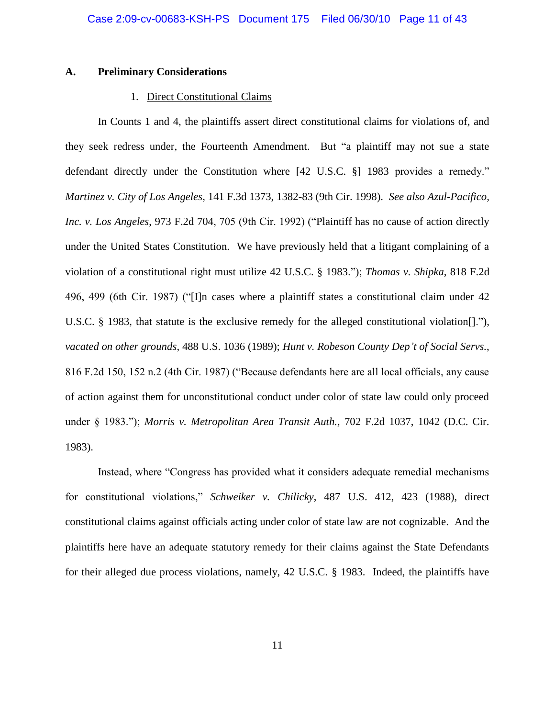#### **A. Preliminary Considerations**

#### 1. Direct Constitutional Claims

In Counts 1 and 4, the plaintiffs assert direct constitutional claims for violations of, and they seek redress under, the Fourteenth Amendment. But "a plaintiff may not sue a state defendant directly under the Constitution where [42 U.S.C. §] 1983 provides a remedy." *Martinez v. City of Los Angeles*, 141 F.3d 1373, 1382-83 (9th Cir. 1998). *See also Azul-Pacifico, Inc. v. Los Angeles*, 973 F.2d 704, 705 (9th Cir. 1992) ("Plaintiff has no cause of action directly under the United States Constitution. We have previously held that a litigant complaining of a violation of a constitutional right must utilize 42 U.S.C. § 1983."); *Thomas v. Shipka*, 818 F.2d 496, 499 (6th Cir. 1987) ("[I]n cases where a plaintiff states a constitutional claim under 42 U.S.C. § 1983, that statute is the exclusive remedy for the alleged constitutional violation[]."), *vacated on other grounds*, 488 U.S. 1036 (1989); *Hunt v. Robeson County Dep't of Social Servs.*, 816 F.2d 150, 152 n.2 (4th Cir. 1987) ("Because defendants here are all local officials, any cause of action against them for unconstitutional conduct under color of state law could only proceed under § 1983."); *Morris v. Metropolitan Area Transit Auth.,* 702 F.2d 1037, 1042 (D.C. Cir. 1983).

Instead, where "Congress has provided what it considers adequate remedial mechanisms for constitutional violations," *Schweiker v. Chilicky*, 487 U.S. 412, 423 (1988), direct constitutional claims against officials acting under color of state law are not cognizable. And the plaintiffs here have an adequate statutory remedy for their claims against the State Defendants for their alleged due process violations, namely, 42 U.S.C. § 1983. Indeed, the plaintiffs have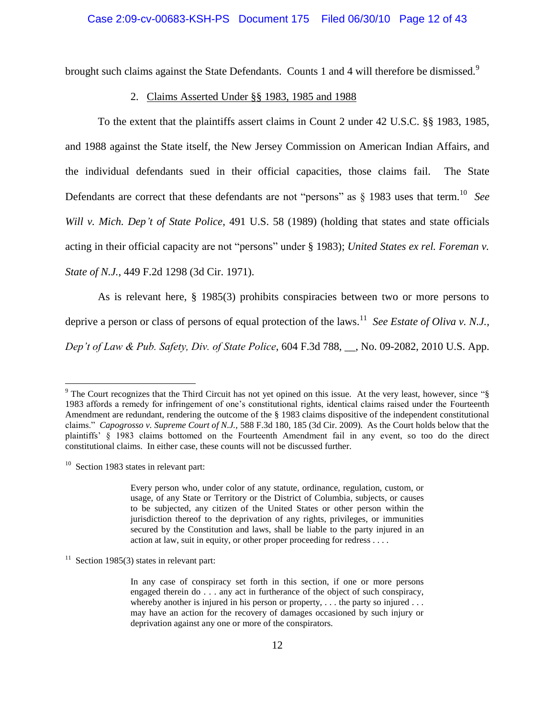brought such claims against the State Defendants. Counts 1 and 4 will therefore be dismissed.<sup>9</sup>

#### 2. Claims Asserted Under §§ 1983, 1985 and 1988

To the extent that the plaintiffs assert claims in Count 2 under 42 U.S.C. §§ 1983, 1985, and 1988 against the State itself, the New Jersey Commission on American Indian Affairs, and the individual defendants sued in their official capacities, those claims fail. The State Defendants are correct that these defendants are not "persons" as § 1983 uses that term.<sup>10</sup> *See Will v. Mich. Dep't of State Police*, 491 U.S. 58 (1989) (holding that states and state officials acting in their official capacity are not "persons" under § 1983); *United States ex rel. Foreman v. State of N.J.*, 449 F.2d 1298 (3d Cir. 1971).

As is relevant here, § 1985(3) prohibits conspiracies between two or more persons to deprive a person or class of persons of equal protection of the laws.<sup>11</sup> See Estate of Oliva v. N.J., *Dep't of Law & Pub. Safety, Div. of State Police*, 604 F.3d 788, \_\_, No. 09-2082, 2010 U.S. App.

<sup>&</sup>lt;sup>9</sup> The Court recognizes that the Third Circuit has not yet opined on this issue. At the very least, however, since "§ 1983 affords a remedy for infringement of one"s constitutional rights, identical claims raised under the Fourteenth Amendment are redundant, rendering the outcome of the § 1983 claims dispositive of the independent constitutional claims." *Capogrosso v. Supreme Court of N.J.,* 588 F.3d 180, 185 (3d Cir. 2009). As the Court holds below that the plaintiffs" § 1983 claims bottomed on the Fourteenth Amendment fail in any event, so too do the direct constitutional claims. In either case, these counts will not be discussed further.

 $10$  Section 1983 states in relevant part:

Every person who, under color of any statute, ordinance, regulation, custom, or usage, of any State or Territory or the District of Columbia, subjects, or causes to be subjected, any citizen of the United States or other person within the jurisdiction thereof to the deprivation of any rights, privileges, or immunities secured by the Constitution and laws, shall be liable to the party injured in an action at law, suit in equity, or other proper proceeding for redress . . . .

 $11$  Section 1985(3) states in relevant part:

In any case of conspiracy set forth in this section, if one or more persons engaged therein do . . . any act in furtherance of the object of such conspiracy, whereby another is injured in his person or property,  $\dots$  the party so injured  $\dots$ may have an action for the recovery of damages occasioned by such injury or deprivation against any one or more of the conspirators.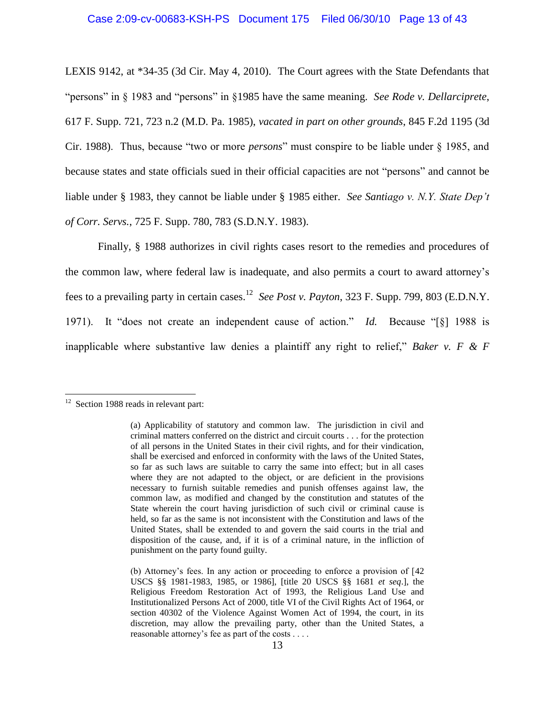## Case 2:09-cv-00683-KSH-PS Document 175 Filed 06/30/10 Page 13 of 43

LEXIS 9142, at \*34-35 (3d Cir. May 4, 2010). The Court agrees with the State Defendants that "persons" in § 1983 and "persons" in §1985 have the same meaning. *See Rode v. Dellarciprete*, 617 F. Supp. 721, 723 n.2 (M.D. Pa. 1985), *vacated in part on other grounds*, 845 F.2d 1195 (3d Cir. 1988). Thus, because "two or more *persons*" must conspire to be liable under § 1985, and because states and state officials sued in their official capacities are not "persons" and cannot be liable under § 1983, they cannot be liable under § 1985 either. *See Santiago v. N.Y. State Dep't of Corr. Servs.*, 725 F. Supp. 780, 783 (S.D.N.Y. 1983).

Finally, § 1988 authorizes in civil rights cases resort to the remedies and procedures of the common law, where federal law is inadequate, and also permits a court to award attorney"s fees to a prevailing party in certain cases. 12 *See Post v. Payton*, 323 F. Supp. 799, 803 (E.D.N.Y. 1971). It "does not create an independent cause of action." *Id.* Because "[§] 1988 is inapplicable where substantive law denies a plaintiff any right to relief," *Baker v. F & F* 

<sup>&</sup>lt;sup>12</sup> Section 1988 reads in relevant part:

<sup>(</sup>a) Applicability of statutory and common law. The jurisdiction in civil and criminal matters conferred on the district and circuit courts . . . for the protection of all persons in the United States in their civil rights, and for their vindication, shall be exercised and enforced in conformity with the laws of the United States, so far as such laws are suitable to carry the same into effect; but in all cases where they are not adapted to the object, or are deficient in the provisions necessary to furnish suitable remedies and punish offenses against law, the common law, as modified and changed by the constitution and statutes of the State wherein the court having jurisdiction of such civil or criminal cause is held, so far as the same is not inconsistent with the Constitution and laws of the United States, shall be extended to and govern the said courts in the trial and disposition of the cause, and, if it is of a criminal nature, in the infliction of punishment on the party found guilty.

<sup>(</sup>b) Attorney"s fees. In any action or proceeding to enforce a provision of [42 USCS §§ 1981-1983, 1985, or 1986], [title 20 USCS §§ 1681 *et seq*.], the Religious Freedom Restoration Act of 1993, the Religious Land Use and Institutionalized Persons Act of 2000, title VI of the Civil Rights Act of 1964, or section 40302 of the Violence Against Women Act of 1994, the court, in its discretion, may allow the prevailing party, other than the United States, a reasonable attorney's fee as part of the costs . . . .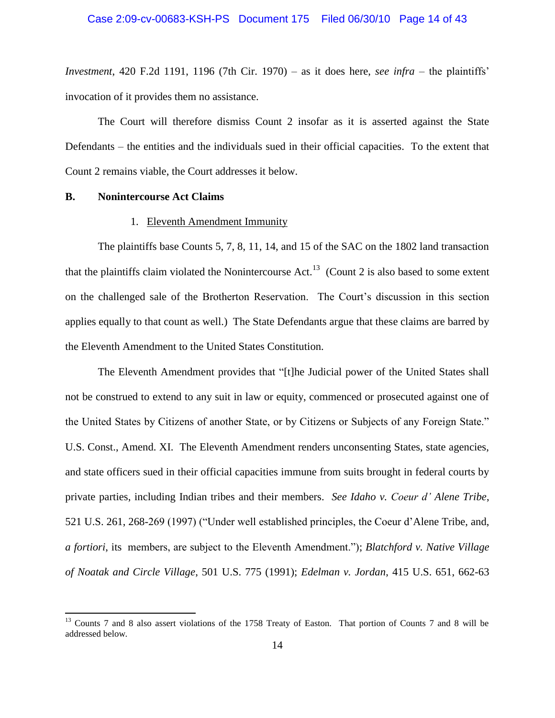*Investment*, 420 F.2d 1191, 1196 (7th Cir. 1970) – as it does here, *see infra* – the plaintiffs" invocation of it provides them no assistance.

The Court will therefore dismiss Count 2 insofar as it is asserted against the State Defendants – the entities and the individuals sued in their official capacities. To the extent that Count 2 remains viable, the Court addresses it below.

#### **B. Nonintercourse Act Claims**

 $\overline{a}$ 

## 1. Eleventh Amendment Immunity

The plaintiffs base Counts 5, 7, 8, 11, 14, and 15 of the SAC on the 1802 land transaction that the plaintiffs claim violated the Nonintercourse Act.<sup>13</sup> (Count 2 is also based to some extent on the challenged sale of the Brotherton Reservation. The Court's discussion in this section applies equally to that count as well.) The State Defendants argue that these claims are barred by the Eleventh Amendment to the United States Constitution.

The Eleventh Amendment provides that "[t]he Judicial power of the United States shall not be construed to extend to any suit in law or equity, commenced or prosecuted against one of the United States by Citizens of another State, or by Citizens or Subjects of any Foreign State." U.S. Const., Amend. XI. The Eleventh Amendment renders unconsenting States, state agencies, and state officers sued in their official capacities immune from suits brought in federal courts by private parties, including Indian tribes and their members. *See Idaho v. Coeur d' Alene Tribe*, 521 U.S. 261, 268-269 (1997) ("Under well established principles, the Coeur d"Alene Tribe, and, *a fortiori*, its members, are subject to the Eleventh Amendment."); *Blatchford v. Native Village of Noatak and Circle Village*, 501 U.S. 775 (1991); *Edelman v. Jordan*, 415 U.S. 651, 662-63

<sup>&</sup>lt;sup>13</sup> Counts 7 and 8 also assert violations of the 1758 Treaty of Easton. That portion of Counts 7 and 8 will be addressed below.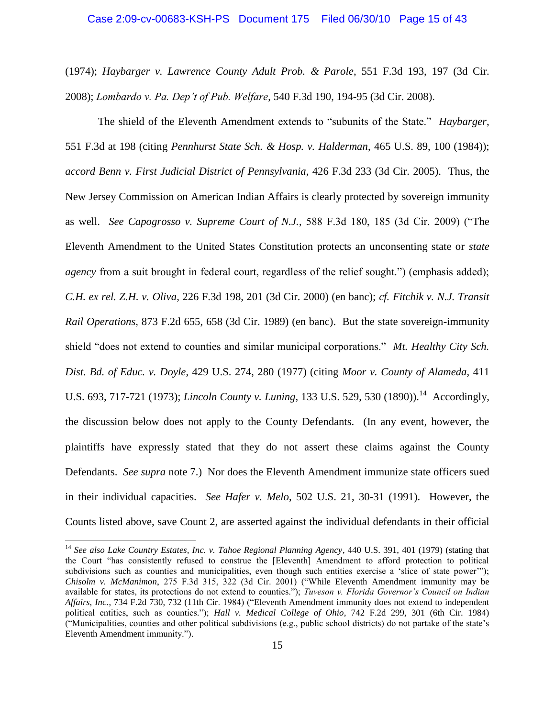#### Case 2:09-cv-00683-KSH-PS Document 175 Filed 06/30/10 Page 15 of 43

(1974); *Haybarger v. Lawrence County Adult Prob. & Parole*, 551 F.3d 193, 197 (3d Cir. 2008); *Lombardo v. Pa. Dep't of Pub. Welfare*, 540 F.3d 190, 194-95 (3d Cir. 2008).

The shield of the Eleventh Amendment extends to "subunits of the State." *Haybarger*, 551 F.3d at 198 (citing *Pennhurst State Sch. & Hosp. v. Halderman*, 465 U.S. 89, 100 (1984)); *accord Benn v. First Judicial District of Pennsylvania*, 426 F.3d 233 (3d Cir. 2005). Thus, the New Jersey Commission on American Indian Affairs is clearly protected by sovereign immunity as well. *See Capogrosso v. Supreme Court of N.J.*, 588 F.3d 180, 185 (3d Cir. 2009) ("The Eleventh Amendment to the United States Constitution protects an unconsenting state or *state agency* from a suit brought in federal court, regardless of the relief sought.") (emphasis added); *C.H. ex rel. Z.H. v. Oliva*, 226 F.3d 198, 201 (3d Cir. 2000) (en banc); *cf. Fitchik v. N.J. Transit Rail Operations*, 873 F.2d 655, 658 (3d Cir. 1989) (en banc). But the state sovereign-immunity shield "does not extend to counties and similar municipal corporations." *Mt. Healthy City Sch. Dist. Bd. of Educ. v. Doyle*, 429 U.S. 274, 280 (1977) (citing *Moor v. County of Alameda*, 411 U.S. 693, 717-721 (1973); *Lincoln County v. Luning*, 133 U.S. 529, 530 (1890)).<sup>14</sup> Accordingly, the discussion below does not apply to the County Defendants. (In any event, however, the plaintiffs have expressly stated that they do not assert these claims against the County Defendants. *See supra* note 7.) Nor does the Eleventh Amendment immunize state officers sued in their individual capacities. *See Hafer v. Melo*, 502 U.S. 21, 30-31 (1991). However, the Counts listed above, save Count 2, are asserted against the individual defendants in their official

<sup>&</sup>lt;sup>14</sup> See also Lake Country Estates, Inc. v. Tahoe Regional Planning Agency, 440 U.S. 391, 401 (1979) (stating that the Court "has consistently refused to construe the [Eleventh] Amendment to afford protection to political subdivisions such as counties and municipalities, even though such entities exercise a 'slice of state power""); *Chisolm v. McManimon*, 275 F.3d 315, 322 (3d Cir. 2001) ("While Eleventh Amendment immunity may be available for states, its protections do not extend to counties."); *Tuveson v. Florida Governor's Council on Indian Affairs, Inc.*, 734 F.2d 730, 732 (11th Cir. 1984) ("Eleventh Amendment immunity does not extend to independent political entities, such as counties."); *Hall v. Medical College of Ohio*, 742 F.2d 299, 301 (6th Cir. 1984) ("Municipalities, counties and other political subdivisions (e.g., public school districts) do not partake of the state"s Eleventh Amendment immunity.").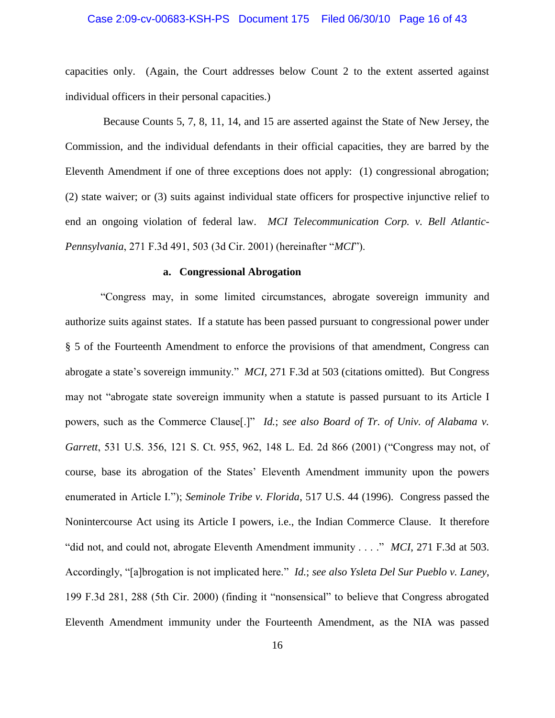#### Case 2:09-cv-00683-KSH-PS Document 175 Filed 06/30/10 Page 16 of 43

capacities only. (Again, the Court addresses below Count 2 to the extent asserted against individual officers in their personal capacities.)

 Because Counts 5, 7, 8, 11, 14, and 15 are asserted against the State of New Jersey, the Commission, and the individual defendants in their official capacities, they are barred by the Eleventh Amendment if one of three exceptions does not apply: (1) congressional abrogation; (2) state waiver; or (3) suits against individual state officers for prospective injunctive relief to end an ongoing violation of federal law. *MCI Telecommunication Corp. v. Bell Atlantic-Pennsylvania*, 271 F.3d 491, 503 (3d Cir. 2001) (hereinafter "*MCI*").

#### **a. Congressional Abrogation**

"Congress may, in some limited circumstances, abrogate sovereign immunity and authorize suits against states. If a statute has been passed pursuant to congressional power under § 5 of the Fourteenth Amendment to enforce the provisions of that amendment, Congress can abrogate a state's sovereign immunity." *MCI*, 271 F.3d at 503 (citations omitted). But Congress may not "abrogate state sovereign immunity when a statute is passed pursuant to its Article I powers, such as the Commerce Clause[.]" *Id.*; *see also Board of Tr. of Univ. of Alabama v. Garrett*, 531 U.S. 356, 121 S. Ct. 955, 962, 148 L. Ed. 2d 866 (2001) ("Congress may not, of course, base its abrogation of the States" Eleventh Amendment immunity upon the powers enumerated in Article I."); *Seminole Tribe v. Florida*, 517 U.S. 44 (1996). Congress passed the Nonintercourse Act using its Article I powers, i.e., the Indian Commerce Clause. It therefore "did not, and could not, abrogate Eleventh Amendment immunity . . . ." *MCI*, 271 F.3d at 503. Accordingly, "[a]brogation is not implicated here." *Id.*; *see also Ysleta Del Sur Pueblo v. Laney*, 199 F.3d 281, 288 (5th Cir. 2000) (finding it "nonsensical" to believe that Congress abrogated Eleventh Amendment immunity under the Fourteenth Amendment, as the NIA was passed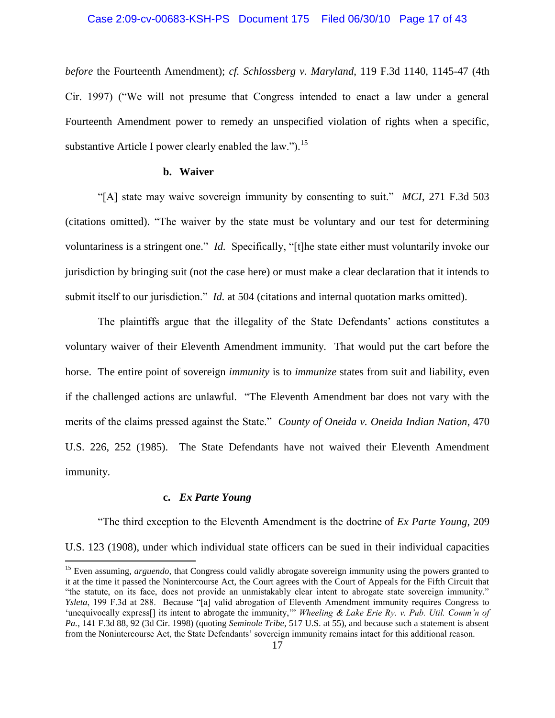#### Case 2:09-cv-00683-KSH-PS Document 175 Filed 06/30/10 Page 17 of 43

*before* the Fourteenth Amendment); *cf. Schlossberg v. Maryland*, 119 F.3d 1140, 1145-47 (4th Cir. 1997) ("We will not presume that Congress intended to enact a law under a general Fourteenth Amendment power to remedy an unspecified violation of rights when a specific, substantive Article I power clearly enabled the law." $b$ .<sup>15</sup>

## **b. Waiver**

"[A] state may waive sovereign immunity by consenting to suit." *MCI*, 271 F.3d 503 (citations omitted). "The waiver by the state must be voluntary and our test for determining voluntariness is a stringent one." *Id.* Specifically, "[t]he state either must voluntarily invoke our jurisdiction by bringing suit (not the case here) or must make a clear declaration that it intends to submit itself to our jurisdiction." *Id.* at 504 (citations and internal quotation marks omitted).

The plaintiffs argue that the illegality of the State Defendants' actions constitutes a voluntary waiver of their Eleventh Amendment immunity. That would put the cart before the horse. The entire point of sovereign *immunity* is to *immunize* states from suit and liability, even if the challenged actions are unlawful. "The Eleventh Amendment bar does not vary with the merits of the claims pressed against the State." *County of Oneida v. Oneida Indian Nation*, 470 U.S. 226, 252 (1985). The State Defendants have not waived their Eleventh Amendment immunity.

#### **c.** *Ex Parte Young*

 $\overline{\phantom{a}}$ 

"The third exception to the Eleventh Amendment is the doctrine of *Ex Parte Young*, 209 U.S. 123 (1908), under which individual state officers can be sued in their individual capacities

<sup>&</sup>lt;sup>15</sup> Even assuming, *arguendo*, that Congress could validly abrogate sovereign immunity using the powers granted to it at the time it passed the Nonintercourse Act, the Court agrees with the Court of Appeals for the Fifth Circuit that "the statute, on its face, does not provide an unmistakably clear intent to abrogate state sovereign immunity." *Ysleta*, 199 F.3d at 288. Because "[a] valid abrogation of Eleventh Amendment immunity requires Congress to 'unequivocally express[] its intent to abrogate the immunity,"" Wheeling & Lake Erie Ry. v. Pub. Util. Comm'n of *Pa.*, 141 F.3d 88, 92 (3d Cir. 1998) (quoting *Seminole Tribe*, 517 U.S. at 55), and because such a statement is absent from the Nonintercourse Act, the State Defendants' sovereign immunity remains intact for this additional reason.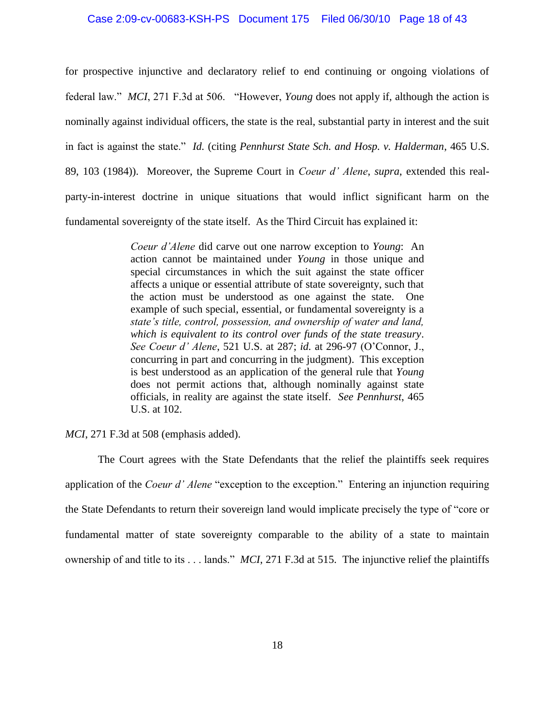#### Case 2:09-cv-00683-KSH-PS Document 175 Filed 06/30/10 Page 18 of 43

for prospective injunctive and declaratory relief to end continuing or ongoing violations of federal law." *MCI*, 271 F.3d at 506. "However, *Young* does not apply if, although the action is nominally against individual officers, the state is the real, substantial party in interest and the suit in fact is against the state." *Id.* (citing *Pennhurst State Sch. and Hosp. v. Halderman*, 465 U.S. 89, 103 (1984)). Moreover, the Supreme Court in *Coeur d' Alene*, *supra*, extended this realparty-in-interest doctrine in unique situations that would inflict significant harm on the fundamental sovereignty of the state itself. As the Third Circuit has explained it:

> *Coeur d'Alene* did carve out one narrow exception to *Young*: An action cannot be maintained under *Young* in those unique and special circumstances in which the suit against the state officer affects a unique or essential attribute of state sovereignty, such that the action must be understood as one against the state. One example of such special, essential, or fundamental sovereignty is a *state's title, control, possession, and ownership of water and land, which is equivalent to its control over funds of the state treasury*. *See Coeur d' Alene*, 521 U.S. at 287; *id.* at 296-97 (O"Connor, J., concurring in part and concurring in the judgment). This exception is best understood as an application of the general rule that *Young* does not permit actions that, although nominally against state officials, in reality are against the state itself. *See Pennhurst*, 465 U.S. at 102.

*MCI*, 271 F.3d at 508 (emphasis added).

The Court agrees with the State Defendants that the relief the plaintiffs seek requires application of the *Coeur d' Alene* "exception to the exception." Entering an injunction requiring the State Defendants to return their sovereign land would implicate precisely the type of "core or fundamental matter of state sovereignty comparable to the ability of a state to maintain ownership of and title to its . . . lands." *MCI*, 271 F.3d at 515. The injunctive relief the plaintiffs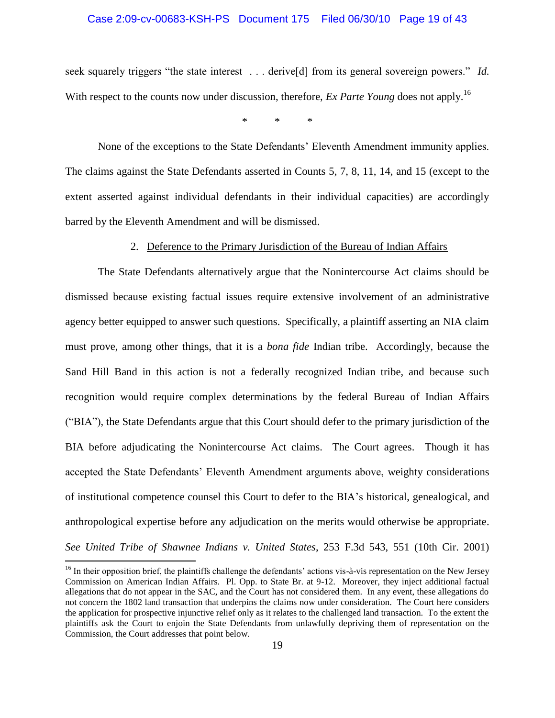## Case 2:09-cv-00683-KSH-PS Document 175 Filed 06/30/10 Page 19 of 43

seek squarely triggers "the state interest . . . derive[d] from its general sovereign powers." *Id.* With respect to the counts now under discussion, therefore, *Ex Parte Young* does not apply.<sup>16</sup>

\* \* \*

None of the exceptions to the State Defendants" Eleventh Amendment immunity applies. The claims against the State Defendants asserted in Counts 5, 7, 8, 11, 14, and 15 (except to the extent asserted against individual defendants in their individual capacities) are accordingly barred by the Eleventh Amendment and will be dismissed.

#### 2. Deference to the Primary Jurisdiction of the Bureau of Indian Affairs

The State Defendants alternatively argue that the Nonintercourse Act claims should be dismissed because existing factual issues require extensive involvement of an administrative agency better equipped to answer such questions. Specifically, a plaintiff asserting an NIA claim must prove, among other things, that it is a *bona fide* Indian tribe. Accordingly, because the Sand Hill Band in this action is not a federally recognized Indian tribe, and because such recognition would require complex determinations by the federal Bureau of Indian Affairs ("BIA"), the State Defendants argue that this Court should defer to the primary jurisdiction of the BIA before adjudicating the Nonintercourse Act claims. The Court agrees. Though it has accepted the State Defendants" Eleventh Amendment arguments above, weighty considerations of institutional competence counsel this Court to defer to the BIA"s historical, genealogical, and anthropological expertise before any adjudication on the merits would otherwise be appropriate. *See United Tribe of Shawnee Indians v. United States*, 253 F.3d 543, 551 (10th Cir. 2001)

 $<sup>16</sup>$  In their opposition brief, the plaintiffs challenge the defendants' actions vis-à-vis representation on the New Jersey</sup> Commission on American Indian Affairs. Pl. Opp. to State Br. at 9-12. Moreover, they inject additional factual allegations that do not appear in the SAC, and the Court has not considered them. In any event, these allegations do not concern the 1802 land transaction that underpins the claims now under consideration. The Court here considers the application for prospective injunctive relief only as it relates to the challenged land transaction. To the extent the plaintiffs ask the Court to enjoin the State Defendants from unlawfully depriving them of representation on the Commission, the Court addresses that point below.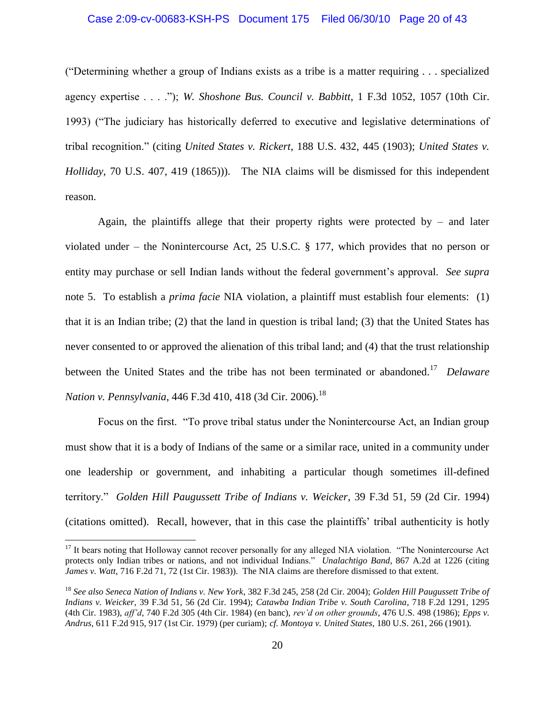#### Case 2:09-cv-00683-KSH-PS Document 175 Filed 06/30/10 Page 20 of 43

("Determining whether a group of Indians exists as a tribe is a matter requiring . . . specialized agency expertise . . . ."); *W. Shoshone Bus. Council v. Babbitt*, 1 F.3d 1052, 1057 (10th Cir. 1993) ("The judiciary has historically deferred to executive and legislative determinations of tribal recognition." (citing *United States v. Rickert*, 188 U.S. 432, 445 (1903); *United States v. Holliday*, 70 U.S. 407, 419 (1865))). The NIA claims will be dismissed for this independent reason.

Again, the plaintiffs allege that their property rights were protected by  $-$  and later violated under – the Nonintercourse Act, 25 U.S.C. § 177, which provides that no person or entity may purchase or sell Indian lands without the federal government"s approval. *See supra*  note 5. To establish a *prima facie* NIA violation, a plaintiff must establish four elements: (1) that it is an Indian tribe; (2) that the land in question is tribal land; (3) that the United States has never consented to or approved the alienation of this tribal land; and (4) that the trust relationship between the United States and the tribe has not been terminated or abandoned.<sup>17</sup> *Delaware Nation v. Pennsylvania*, 446 F.3d 410, 418 (3d Cir. 2006).<sup>18</sup>

Focus on the first. "To prove tribal status under the Nonintercourse Act, an Indian group must show that it is a body of Indians of the same or a similar race, united in a community under one leadership or government, and inhabiting a particular though sometimes ill-defined territory." *Golden Hill Paugussett Tribe of Indians v. Weicker*, 39 F.3d 51, 59 (2d Cir. 1994) (citations omitted).Recall, however, that in this case the plaintiffs" tribal authenticity is hotly

<sup>&</sup>lt;sup>17</sup> It bears noting that Holloway cannot recover personally for any alleged NIA violation. "The Nonintercourse Act protects only Indian tribes or nations, and not individual Indians." *Unalachtigo Band*, 867 A.2d at 1226 (citing *James v. Watt*, 716 F.2d 71, 72 (1st Cir. 1983)). The NIA claims are therefore dismissed to that extent.

<sup>18</sup> *See also Seneca Nation of Indians v. New York*, 382 F.3d 245, 258 (2d Cir. 2004); *Golden Hill Paugussett Tribe of Indians v. Weicker*, 39 F.3d 51, 56 (2d Cir. 1994); *Catawba Indian Tribe v. South Carolina*, 718 F.2d 1291, 1295 (4th Cir. 1983), *aff'd*, 740 F.2d 305 (4th Cir. 1984) (en banc), *rev'd on other grounds*, 476 U.S. 498 (1986); *Epps v. Andrus*, 611 F.2d 915, 917 (1st Cir. 1979) (per curiam); *cf. Montoya v. United States*, 180 U.S. 261, 266 (1901).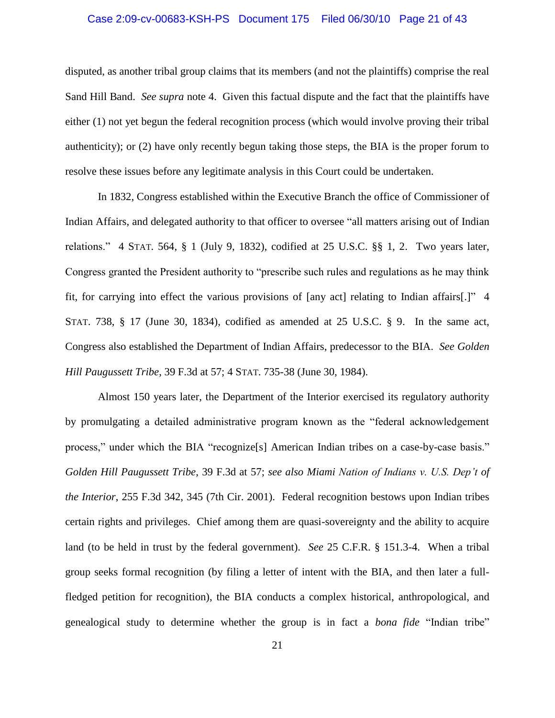#### Case 2:09-cv-00683-KSH-PS Document 175 Filed 06/30/10 Page 21 of 43

disputed, as another tribal group claims that its members (and not the plaintiffs) comprise the real Sand Hill Band. *See supra* note 4. Given this factual dispute and the fact that the plaintiffs have either (1) not yet begun the federal recognition process (which would involve proving their tribal authenticity); or (2) have only recently begun taking those steps, the BIA is the proper forum to resolve these issues before any legitimate analysis in this Court could be undertaken.

In 1832, Congress established within the Executive Branch the office of Commissioner of Indian Affairs, and delegated authority to that officer to oversee "all matters arising out of Indian relations." 4 STAT. 564, § 1 (July 9, 1832), codified at 25 U.S.C. §§ 1, 2. Two years later, Congress granted the President authority to "prescribe such rules and regulations as he may think fit, for carrying into effect the various provisions of [any act] relating to Indian affairs[.]" 4 STAT. 738, § 17 (June 30, 1834), codified as amended at 25 U.S.C. § 9. In the same act, Congress also established the Department of Indian Affairs, predecessor to the BIA. *See Golden Hill Paugussett Tribe*, 39 F.3d at 57; 4 STAT. 735-38 (June 30, 1984).

Almost 150 years later, the Department of the Interior exercised its regulatory authority by promulgating a detailed administrative program known as the "federal acknowledgement process," under which the BIA "recognize[s] American Indian tribes on a case-by-case basis." *Golden Hill Paugussett Tribe*, 39 F.3d at 57; *see also Miami Nation of Indians v. U.S. Dep't of the Interior*, 255 F.3d 342, 345 (7th Cir. 2001). Federal recognition bestows upon Indian tribes certain rights and privileges. Chief among them are quasi-sovereignty and the ability to acquire land (to be held in trust by the federal government). *See* 25 C.F.R. § 151.3-4. When a tribal group seeks formal recognition (by filing a letter of intent with the BIA, and then later a fullfledged petition for recognition), the BIA conducts a complex historical, anthropological, and genealogical study to determine whether the group is in fact a *bona fide* "Indian tribe"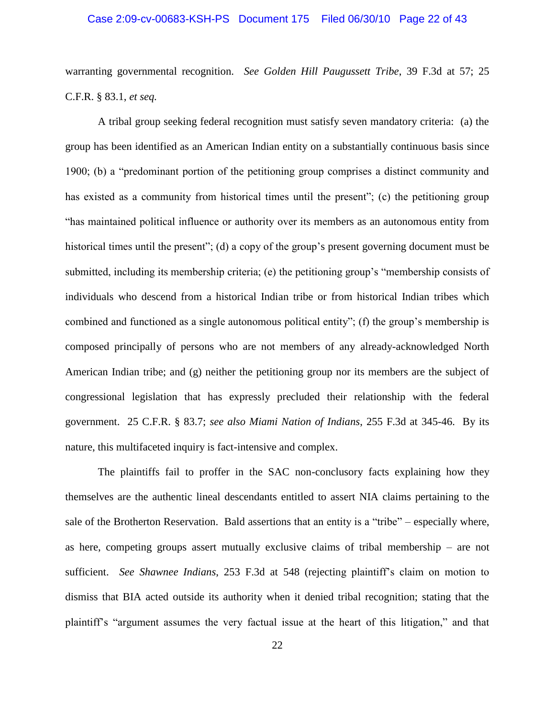#### Case 2:09-cv-00683-KSH-PS Document 175 Filed 06/30/10 Page 22 of 43

warranting governmental recognition. *See Golden Hill Paugussett Tribe*, 39 F.3d at 57; 25 C.F.R. § 83.1, *et seq.*

A tribal group seeking federal recognition must satisfy seven mandatory criteria: (a) the group has been identified as an American Indian entity on a substantially continuous basis since 1900; (b) a "predominant portion of the petitioning group comprises a distinct community and has existed as a community from historical times until the present"; (c) the petitioning group "has maintained political influence or authority over its members as an autonomous entity from historical times until the present"; (d) a copy of the group's present governing document must be submitted, including its membership criteria; (e) the petitioning group's "membership consists of individuals who descend from a historical Indian tribe or from historical Indian tribes which combined and functioned as a single autonomous political entity"; (f) the group"s membership is composed principally of persons who are not members of any already-acknowledged North American Indian tribe; and (g) neither the petitioning group nor its members are the subject of congressional legislation that has expressly precluded their relationship with the federal government. 25 C.F.R. § 83.7; *see also Miami Nation of Indians*, 255 F.3d at 345-46. By its nature, this multifaceted inquiry is fact-intensive and complex.

The plaintiffs fail to proffer in the SAC non-conclusory facts explaining how they themselves are the authentic lineal descendants entitled to assert NIA claims pertaining to the sale of the Brotherton Reservation. Bald assertions that an entity is a "tribe" – especially where, as here, competing groups assert mutually exclusive claims of tribal membership – are not sufficient. *See Shawnee Indians*, 253 F.3d at 548 (rejecting plaintiff"s claim on motion to dismiss that BIA acted outside its authority when it denied tribal recognition; stating that the plaintiff"s "argument assumes the very factual issue at the heart of this litigation," and that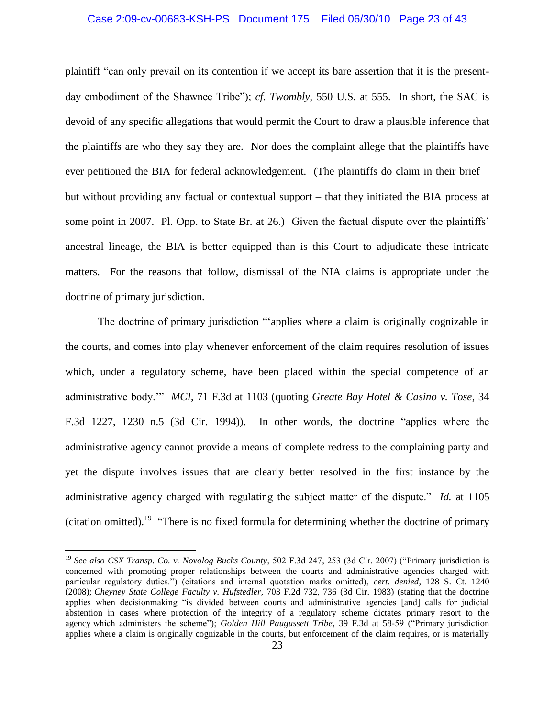#### Case 2:09-cv-00683-KSH-PS Document 175 Filed 06/30/10 Page 23 of 43

plaintiff "can only prevail on its contention if we accept its bare assertion that it is the presentday embodiment of the Shawnee Tribe"); *cf. Twombly*, 550 U.S. at 555. In short, the SAC is devoid of any specific allegations that would permit the Court to draw a plausible inference that the plaintiffs are who they say they are. Nor does the complaint allege that the plaintiffs have ever petitioned the BIA for federal acknowledgement. (The plaintiffs do claim in their brief – but without providing any factual or contextual support – that they initiated the BIA process at some point in 2007. Pl. Opp. to State Br. at 26.) Given the factual dispute over the plaintiffs' ancestral lineage, the BIA is better equipped than is this Court to adjudicate these intricate matters. For the reasons that follow, dismissal of the NIA claims is appropriate under the doctrine of primary jurisdiction.

The doctrine of primary jurisdiction ""applies where a claim is originally cognizable in the courts, and comes into play whenever enforcement of the claim requires resolution of issues which, under a regulatory scheme, have been placed within the special competence of an administrative body."" *MCI*, 71 F.3d at 1103 (quoting *Greate Bay Hotel & Casino v. Tose*, 34 F.3d 1227, 1230 n.5 (3d Cir. 1994)). In other words, the doctrine "applies where the administrative agency cannot provide a means of complete redress to the complaining party and yet the dispute involves issues that are clearly better resolved in the first instance by the administrative agency charged with regulating the subject matter of the dispute." *Id.* at 1105 (citation omitted).<sup>19</sup> "There is no fixed formula for determining whether the doctrine of primary

 $\overline{a}$ 

<sup>19</sup> *See also CSX Transp. Co. v. Novolog Bucks County*, 502 F.3d 247, 253 (3d Cir. 2007) ("Primary jurisdiction is concerned with promoting proper relationships between the courts and administrative agencies charged with particular regulatory duties.") (citations and internal quotation marks omitted), *cert. denied*, 128 S. Ct. 1240 (2008); *Cheyney State College Faculty v. Hufstedler*, 703 F.2d 732, 736 (3d Cir. 1983) (stating that the doctrine applies when decisionmaking "is divided between courts and administrative agencies [and] calls for judicial abstention in cases where protection of the integrity of a regulatory scheme dictates primary resort to the agency which administers the scheme"); *Golden Hill Paugussett Tribe*, 39 F.3d at 58-59 ("Primary jurisdiction applies where a claim is originally cognizable in the courts, but enforcement of the claim requires, or is materially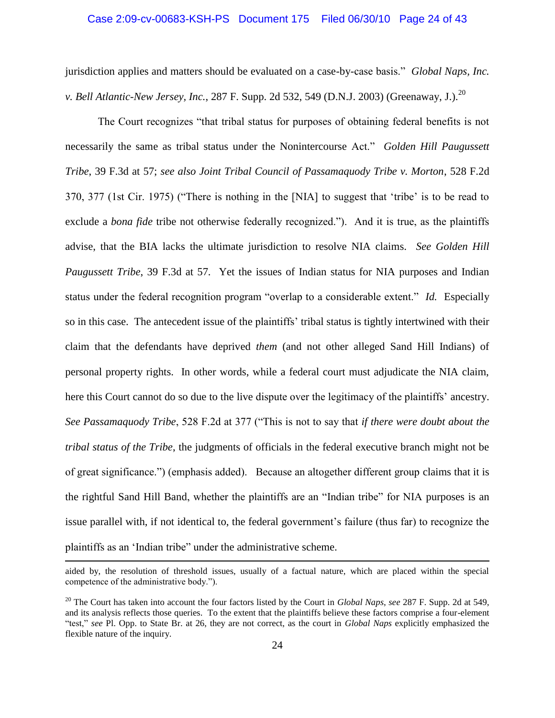#### Case 2:09-cv-00683-KSH-PS Document 175 Filed 06/30/10 Page 24 of 43

jurisdiction applies and matters should be evaluated on a case-by-case basis." *Global Naps, Inc. v. Bell Atlantic-New Jersey, Inc., 287 F. Supp. 2d 532, 549 (D.N.J. 2003) (Greenaway, J.).*<sup>20</sup>

The Court recognizes "that tribal status for purposes of obtaining federal benefits is not necessarily the same as tribal status under the Nonintercourse Act." *Golden Hill Paugussett Tribe*, 39 F.3d at 57; *see also Joint Tribal Council of Passamaquody Tribe v. Morton*, 528 F.2d 370, 377 (1st Cir. 1975) ("There is nothing in the [NIA] to suggest that "tribe" is to be read to exclude a *bona fide* tribe not otherwise federally recognized."). And it is true, as the plaintiffs advise, that the BIA lacks the ultimate jurisdiction to resolve NIA claims. *See Golden Hill Paugussett Tribe*, 39 F.3d at 57*.* Yet the issues of Indian status for NIA purposes and Indian status under the federal recognition program "overlap to a considerable extent." *Id.* Especially so in this case. The antecedent issue of the plaintiffs' tribal status is tightly intertwined with their claim that the defendants have deprived *them* (and not other alleged Sand Hill Indians) of personal property rights. In other words, while a federal court must adjudicate the NIA claim, here this Court cannot do so due to the live dispute over the legitimacy of the plaintiffs" ancestry. *See Passamaquody Tribe*, 528 F.2d at 377 ("This is not to say that *if there were doubt about the tribal status of the Tribe*, the judgments of officials in the federal executive branch might not be of great significance.") (emphasis added). Because an altogether different group claims that it is the rightful Sand Hill Band, whether the plaintiffs are an "Indian tribe" for NIA purposes is an issue parallel with, if not identical to, the federal government's failure (thus far) to recognize the plaintiffs as an "Indian tribe" under the administrative scheme.

aided by, the resolution of threshold issues, usually of a factual nature, which are placed within the special competence of the administrative body.").

<sup>20</sup> The Court has taken into account the four factors listed by the Court in *Global Naps*, *see* 287 F. Supp. 2d at 549, and its analysis reflects those queries. To the extent that the plaintiffs believe these factors comprise a four-element "test," *see* Pl. Opp. to State Br. at 26, they are not correct, as the court in *Global Naps* explicitly emphasized the flexible nature of the inquiry.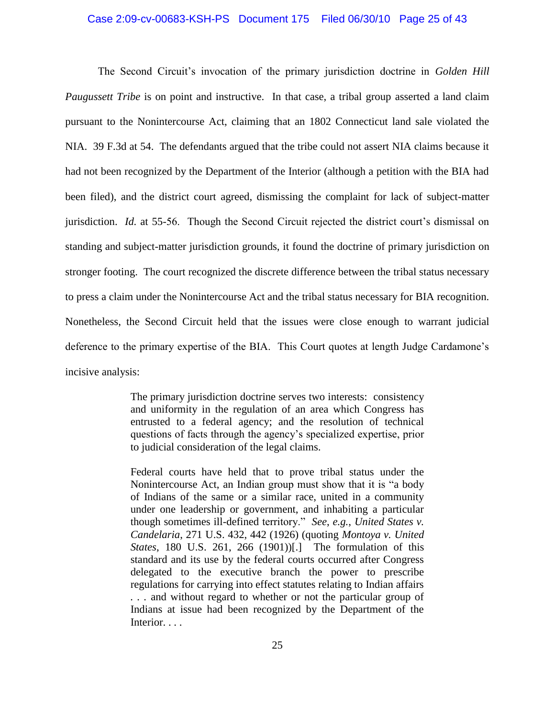#### Case 2:09-cv-00683-KSH-PS Document 175 Filed 06/30/10 Page 25 of 43

The Second Circuit's invocation of the primary jurisdiction doctrine in *Golden Hill Paugussett Tribe* is on point and instructive. In that case, a tribal group asserted a land claim pursuant to the Nonintercourse Act, claiming that an 1802 Connecticut land sale violated the NIA. 39 F.3d at 54. The defendants argued that the tribe could not assert NIA claims because it had not been recognized by the Department of the Interior (although a petition with the BIA had been filed), and the district court agreed, dismissing the complaint for lack of subject-matter jurisdiction. *Id.* at 55-56. Though the Second Circuit rejected the district court's dismissal on standing and subject-matter jurisdiction grounds, it found the doctrine of primary jurisdiction on stronger footing. The court recognized the discrete difference between the tribal status necessary to press a claim under the Nonintercourse Act and the tribal status necessary for BIA recognition. Nonetheless, the Second Circuit held that the issues were close enough to warrant judicial deference to the primary expertise of the BIA. This Court quotes at length Judge Cardamone"s incisive analysis:

> The primary jurisdiction doctrine serves two interests: consistency and uniformity in the regulation of an area which Congress has entrusted to a federal agency; and the resolution of technical questions of facts through the agency"s specialized expertise, prior to judicial consideration of the legal claims.

> Federal courts have held that to prove tribal status under the Nonintercourse Act, an Indian group must show that it is "a body of Indians of the same or a similar race, united in a community under one leadership or government, and inhabiting a particular though sometimes ill-defined territory." *See*, *e.g.*, *United States v. Candelaria*, 271 U.S. 432, 442 (1926) (quoting *Montoya v. United States*, 180 U.S. 261, 266 (1901))[.] The formulation of this standard and its use by the federal courts occurred after Congress delegated to the executive branch the power to prescribe regulations for carrying into effect statutes relating to Indian affairs *. . .* and without regard to whether or not the particular group of Indians at issue had been recognized by the Department of the Interior. . . .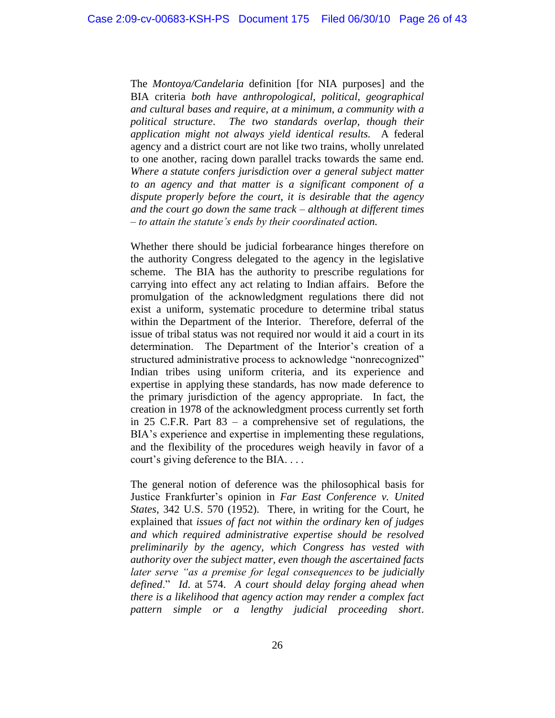The *Montoya/Candelaria* definition [for NIA purposes] and the BIA criteria *both have anthropological, political, geographical and cultural bases and require, at a minimum, a community with a political structure*. *The two standards overlap, though their application might not always yield identical results.* A federal agency and a district court are not like two trains, wholly unrelated to one another, racing down parallel tracks towards the same end. *Where a statute confers jurisdiction over a general subject matter to an agency and that matter is a significant component of a dispute properly before the court, it is desirable that the agency and the court go down the same track – although at different times – to attain the statute's ends by their coordinated action.*

Whether there should be judicial forbearance hinges therefore on the authority Congress delegated to the agency in the legislative scheme. The BIA has the authority to prescribe regulations for carrying into effect any act relating to Indian affairs. Before the promulgation of the acknowledgment regulations there did not exist a uniform, systematic procedure to determine tribal status within the Department of the Interior. Therefore, deferral of the issue of tribal status was not required nor would it aid a court in its determination. The Department of the Interior's creation of a structured administrative process to acknowledge "nonrecognized" Indian tribes using uniform criteria, and its experience and expertise in applying these standards, has now made deference to the primary jurisdiction of the agency appropriate. In fact, the creation in 1978 of the acknowledgment process currently set forth in 25 C.F.R. Part 83 – a comprehensive set of regulations, the BIA's experience and expertise in implementing these regulations, and the flexibility of the procedures weigh heavily in favor of a court's giving deference to the BIA. ...

The general notion of deference was the philosophical basis for Justice Frankfurter"s opinion in *Far East Conference v. United States*, 342 U.S. 570 (1952). There, in writing for the Court, he explained that *issues of fact not within the ordinary ken of judges and which required administrative expertise should be resolved preliminarily by the agency, which Congress has vested with authority over the subject matter, even though the ascertained facts later serve "as a premise for legal consequences to be judicially defined*." *Id*. at 574. *A court should delay forging ahead when there is a likelihood that agency action may render a complex fact pattern simple or a lengthy judicial proceeding short*.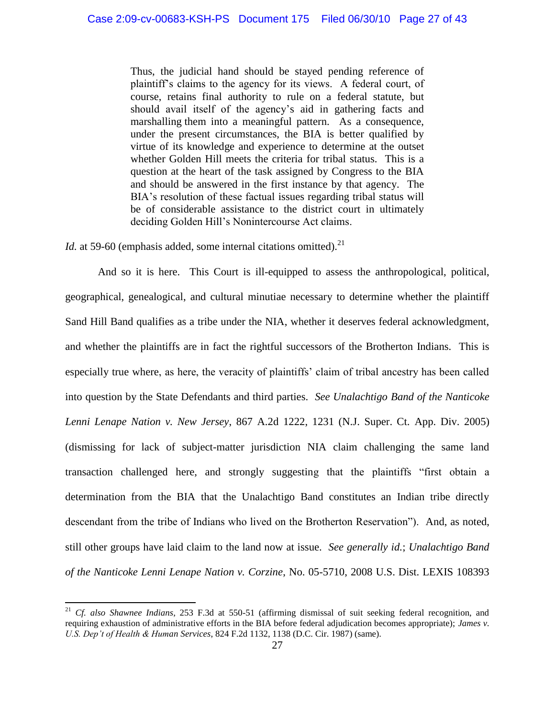Thus, the judicial hand should be stayed pending reference of plaintiff"s claims to the agency for its views. A federal court, of course, retains final authority to rule on a federal statute, but should avail itself of the agency's aid in gathering facts and marshalling them into a meaningful pattern. As a consequence, under the present circumstances, the BIA is better qualified by virtue of its knowledge and experience to determine at the outset whether Golden Hill meets the criteria for tribal status. This is a question at the heart of the task assigned by Congress to the BIA and should be answered in the first instance by that agency. The BIA's resolution of these factual issues regarding tribal status will be of considerable assistance to the district court in ultimately deciding Golden Hill"s Nonintercourse Act claims.

*Id.* at 59-60 (emphasis added, some internal citations omitted).<sup>21</sup>

 $\overline{\phantom{a}}$ 

And so it is here. This Court is ill-equipped to assess the anthropological, political, geographical, genealogical, and cultural minutiae necessary to determine whether the plaintiff Sand Hill Band qualifies as a tribe under the NIA, whether it deserves federal acknowledgment, and whether the plaintiffs are in fact the rightful successors of the Brotherton Indians. This is especially true where, as here, the veracity of plaintiffs" claim of tribal ancestry has been called into question by the State Defendants and third parties. *See Unalachtigo Band of the Nanticoke Lenni Lenape Nation v. New Jersey*, 867 A.2d 1222, 1231 (N.J. Super. Ct. App. Div. 2005) (dismissing for lack of subject-matter jurisdiction NIA claim challenging the same land transaction challenged here, and strongly suggesting that the plaintiffs "first obtain a determination from the BIA that the Unalachtigo Band constitutes an Indian tribe directly descendant from the tribe of Indians who lived on the Brotherton Reservation"). And, as noted, still other groups have laid claim to the land now at issue. *See generally id.*; *Unalachtigo Band of the Nanticoke Lenni Lenape Nation v. Corzine*, No. 05-5710, 2008 U.S. Dist. LEXIS 108393

<sup>21</sup> *Cf. also Shawnee Indians*, 253 F.3d at 550-51 (affirming dismissal of suit seeking federal recognition, and requiring exhaustion of administrative efforts in the BIA before federal adjudication becomes appropriate); *James v. U.S. Dep't of Health & Human Services*, 824 F.2d 1132, 1138 (D.C. Cir. 1987) (same).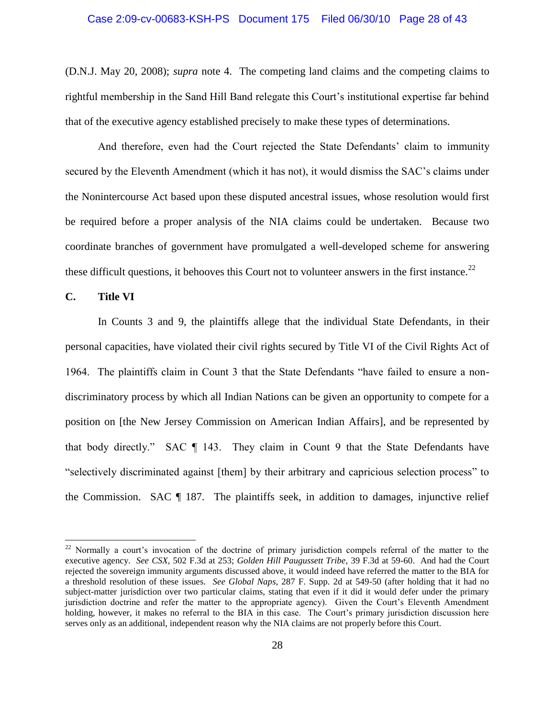## Case 2:09-cv-00683-KSH-PS Document 175 Filed 06/30/10 Page 28 of 43

(D.N.J. May 20, 2008); *supra* note 4. The competing land claims and the competing claims to rightful membership in the Sand Hill Band relegate this Court"s institutional expertise far behind that of the executive agency established precisely to make these types of determinations.

And therefore, even had the Court rejected the State Defendants" claim to immunity secured by the Eleventh Amendment (which it has not), it would dismiss the SAC"s claims under the Nonintercourse Act based upon these disputed ancestral issues, whose resolution would first be required before a proper analysis of the NIA claims could be undertaken. Because two coordinate branches of government have promulgated a well-developed scheme for answering these difficult questions, it behooves this Court not to volunteer answers in the first instance.<sup>22</sup>

## **C. Title VI**

 $\overline{\phantom{a}}$ 

In Counts 3 and 9, the plaintiffs allege that the individual State Defendants, in their personal capacities, have violated their civil rights secured by Title VI of the Civil Rights Act of 1964. The plaintiffs claim in Count 3 that the State Defendants "have failed to ensure a nondiscriminatory process by which all Indian Nations can be given an opportunity to compete for a position on [the New Jersey Commission on American Indian Affairs], and be represented by that body directly." SAC ¶ 143. They claim in Count 9 that the State Defendants have "selectively discriminated against [them] by their arbitrary and capricious selection process" to the Commission. SAC  $\P$  187. The plaintiffs seek, in addition to damages, injunctive relief

 $22$  Normally a court's invocation of the doctrine of primary jurisdiction compels referral of the matter to the executive agency. *See CSX*, 502 F.3d at 253; *Golden Hill Paugussett Tribe*, 39 F.3d at 59-60. And had the Court rejected the sovereign immunity arguments discussed above, it would indeed have referred the matter to the BIA for a threshold resolution of these issues. *See Global Naps*, 287 F. Supp. 2d at 549-50 (after holding that it had no subject-matter jurisdiction over two particular claims, stating that even if it did it would defer under the primary jurisdiction doctrine and refer the matter to the appropriate agency). Given the Court"s Eleventh Amendment holding, however, it makes no referral to the BIA in this case. The Court's primary jurisdiction discussion here serves only as an additional, independent reason why the NIA claims are not properly before this Court.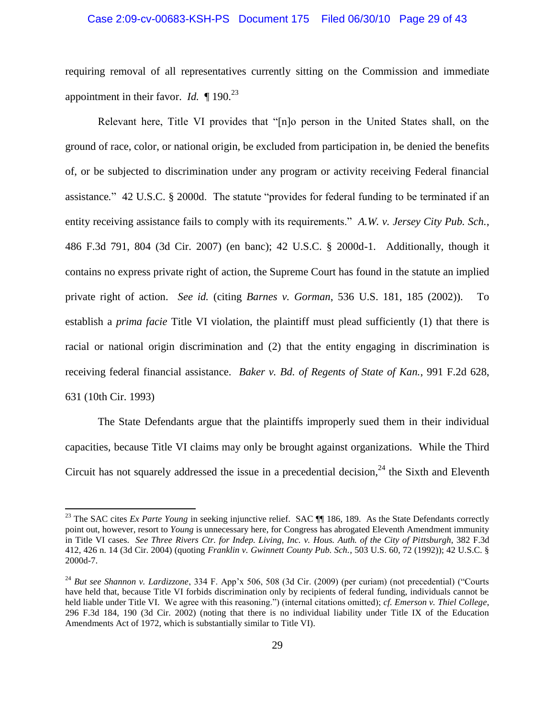#### Case 2:09-cv-00683-KSH-PS Document 175 Filed 06/30/10 Page 29 of 43

requiring removal of all representatives currently sitting on the Commission and immediate appointment in their favor. *Id.*  $\P$  190.<sup>23</sup>

Relevant here, Title VI provides that "[n]o person in the United States shall, on the ground of race, color, or national origin, be excluded from participation in, be denied the benefits of, or be subjected to discrimination under any program or activity receiving Federal financial assistance*.*" 42 U.S.C. § 2000d. The statute "provides for federal funding to be terminated if an entity receiving assistance fails to comply with its requirements." *A.W. v. Jersey City Pub. Sch.*, 486 F.3d 791, 804 (3d Cir. 2007) (en banc); 42 U.S.C. § 2000d-1. Additionally, though it contains no express private right of action, the Supreme Court has found in the statute an implied private right of action. *See id.* (citing *Barnes v. Gorman*, 536 U.S. 181, 185 (2002)). To establish a *prima facie* Title VI violation, the plaintiff must plead sufficiently (1) that there is racial or national origin discrimination and (2) that the entity engaging in discrimination is receiving federal financial assistance. *Baker v. Bd. of Regents of State of Kan.*, 991 F.2d 628, 631 (10th Cir. 1993)

The State Defendants argue that the plaintiffs improperly sued them in their individual capacities, because Title VI claims may only be brought against organizations. While the Third Circuit has not squarely addressed the issue in a precedential decision,  $24$  the Sixth and Eleventh

<sup>&</sup>lt;sup>23</sup> The SAC cites *Ex Parte Young* in seeking injunctive relief. SAC ¶ 186, 189. As the State Defendants correctly point out, however, resort to *Young* is unnecessary here, for Congress has abrogated Eleventh Amendment immunity in Title VI cases. *See Three Rivers Ctr. for Indep. Living, Inc. v. Hous. Auth. of the City of Pittsburgh*, 382 F.3d 412, 426 n. 14 (3d Cir. 2004) (quoting *Franklin v. Gwinnett County Pub. Sch.*, 503 U.S. 60, 72 (1992)); 42 U.S.C. § 2000d-7.

<sup>&</sup>lt;sup>24</sup> *But see Shannon v. Lardizzone*, 334 F. App'x 506, 508 (3d Cir. (2009) (per curiam) (not precedential) ("Courts have held that, because Title VI forbids discrimination only by recipients of federal funding, individuals cannot be held liable under Title VI. We agree with this reasoning.") (internal citations omitted); *cf. Emerson v. Thiel College*, 296 F.3d 184, 190 (3d Cir. 2002) (noting that there is no individual liability under Title IX of the Education Amendments Act of 1972, which is substantially similar to Title VI).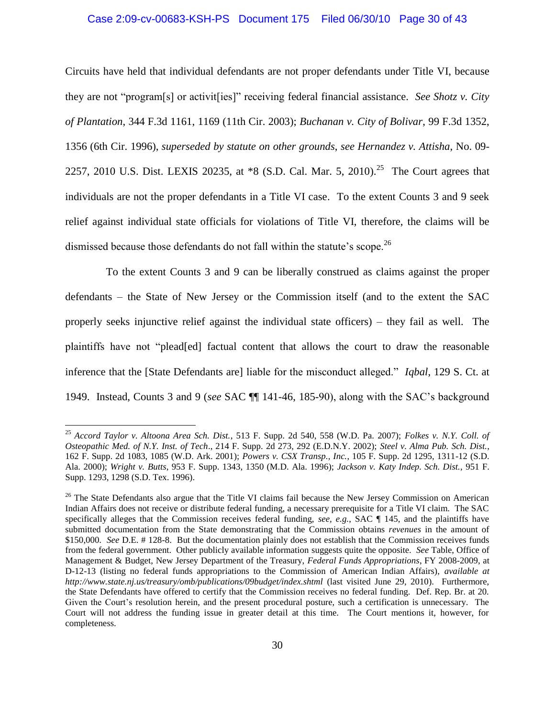#### Case 2:09-cv-00683-KSH-PS Document 175 Filed 06/30/10 Page 30 of 43

Circuits have held that individual defendants are not proper defendants under Title VI, because they are not "program[s] or activit[ies]" receiving federal financial assistance. *See Shotz v. City of Plantation*, 344 F.3d 1161, 1169 (11th Cir. 2003); *Buchanan v. City of Bolivar*, 99 F.3d 1352, 1356 (6th Cir. 1996), *superseded by statute on other grounds*, *see Hernandez v. Attisha*, No. 09- 2257, 2010 U.S. Dist. LEXIS 20235, at  $*8$  (S.D. Cal. Mar. 5, 2010).<sup>25</sup> The Court agrees that individuals are not the proper defendants in a Title VI case. To the extent Counts 3 and 9 seek relief against individual state officials for violations of Title VI, therefore, the claims will be dismissed because those defendants do not fall within the statute's scope.<sup>26</sup>

 To the extent Counts 3 and 9 can be liberally construed as claims against the proper defendants – the State of New Jersey or the Commission itself (and to the extent the SAC properly seeks injunctive relief against the individual state officers) – they fail as well. The plaintiffs have not "plead[ed] factual content that allows the court to draw the reasonable inference that the [State Defendants are] liable for the misconduct alleged." *Iqbal*, 129 S. Ct. at 1949. Instead, Counts 3 and 9 (*see* SAC ¶¶ 141-46, 185-90), along with the SAC"s background

 $\overline{a}$ 

<sup>25</sup> *Accord Taylor v. Altoona Area Sch. Dist.*, 513 F. Supp. 2d 540, 558 (W.D. Pa. 2007); *Folkes v. N.Y. Coll. of Osteopathic Med. of N.Y. Inst. of Tech*., 214 F. Supp. 2d 273, 292 (E.D.N.Y. 2002); *Steel v. Alma Pub. Sch. Dist.*, 162 F. Supp. 2d 1083, 1085 (W.D. Ark. 2001); *Powers v. CSX Transp., Inc.*, 105 F. Supp. 2d 1295, 1311-12 (S.D. Ala. 2000); *Wright v. Butts*, 953 F. Supp. 1343, 1350 (M.D. Ala. 1996); *Jackson v. Katy Indep. Sch. Dist.*, 951 F. Supp. 1293, 1298 (S.D. Tex. 1996).

<sup>&</sup>lt;sup>26</sup> The State Defendants also argue that the Title VI claims fail because the New Jersey Commission on American Indian Affairs does not receive or distribute federal funding, a necessary prerequisite for a Title VI claim. The SAC specifically alleges that the Commission receives federal funding, *see, e.g.*, SAC ¶ 145, and the plaintiffs have submitted documentation from the State demonstrating that the Commission obtains *revenues* in the amount of \$150,000. *See* D.E. # 128-8. But the documentation plainly does not establish that the Commission receives funds from the federal government. Other publicly available information suggests quite the opposite. *See* Table, Office of Management & Budget, New Jersey Department of the Treasury, *Federal Funds Appropriations*, FY 2008-2009, at D-12-13 (listing no federal funds appropriations to the Commission of American Indian Affairs), *available at http://www.state.nj.us/treasury/omb/publications/09budget/index.shtml* (last visited June 29, 2010). Furthermore, the State Defendants have offered to certify that the Commission receives no federal funding. Def. Rep. Br. at 20. Given the Court's resolution herein, and the present procedural posture, such a certification is unnecessary. The Court will not address the funding issue in greater detail at this time. The Court mentions it, however, for completeness.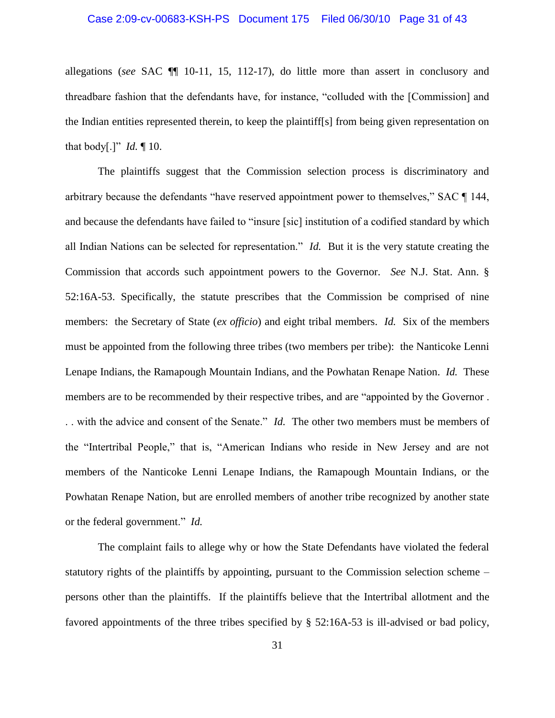#### Case 2:09-cv-00683-KSH-PS Document 175 Filed 06/30/10 Page 31 of 43

allegations (*see* SAC ¶¶ 10-11, 15, 112-17), do little more than assert in conclusory and threadbare fashion that the defendants have, for instance, "colluded with the [Commission] and the Indian entities represented therein, to keep the plaintiff[s] from being given representation on that body[.]" *Id.* ¶ 10.

The plaintiffs suggest that the Commission selection process is discriminatory and arbitrary because the defendants "have reserved appointment power to themselves," SAC ¶ 144, and because the defendants have failed to "insure [sic] institution of a codified standard by which all Indian Nations can be selected for representation." *Id.* But it is the very statute creating the Commission that accords such appointment powers to the Governor. *See* N.J. Stat. Ann. § 52:16A-53. Specifically, the statute prescribes that the Commission be comprised of nine members: the Secretary of State (*ex officio*) and eight tribal members. *Id.* Six of the members must be appointed from the following three tribes (two members per tribe): the Nanticoke Lenni Lenape Indians, the Ramapough Mountain Indians, and the Powhatan Renape Nation. *Id.* These members are to be recommended by their respective tribes, and are "appointed by the Governor . . . with the advice and consent of the Senate." *Id.* The other two members must be members of the "Intertribal People," that is, "American Indians who reside in New Jersey and are not members of the Nanticoke Lenni Lenape Indians, the Ramapough Mountain Indians, or the Powhatan Renape Nation, but are enrolled members of another tribe recognized by another state or the federal government." *Id.* 

The complaint fails to allege why or how the State Defendants have violated the federal statutory rights of the plaintiffs by appointing, pursuant to the Commission selection scheme – persons other than the plaintiffs. If the plaintiffs believe that the Intertribal allotment and the favored appointments of the three tribes specified by § 52:16A-53 is ill-advised or bad policy,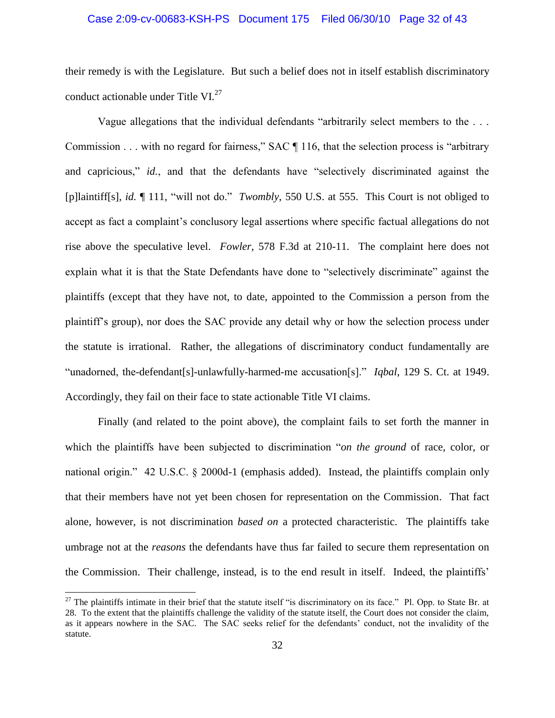#### Case 2:09-cv-00683-KSH-PS Document 175 Filed 06/30/10 Page 32 of 43

their remedy is with the Legislature. But such a belief does not in itself establish discriminatory conduct actionable under Title  $VI^{27}$ 

Vague allegations that the individual defendants "arbitrarily select members to the . . . Commission . . . with no regard for fairness," SAC ¶ 116, that the selection process is "arbitrary and capricious," *id.*, and that the defendants have "selectively discriminated against the [p]laintiff[s], *id.* ¶ 111, "will not do." *Twombly*, 550 U.S. at 555. This Court is not obliged to accept as fact a complaint's conclusory legal assertions where specific factual allegations do not rise above the speculative level. *Fowler*, 578 F.3d at 210-11. The complaint here does not explain what it is that the State Defendants have done to "selectively discriminate" against the plaintiffs (except that they have not, to date, appointed to the Commission a person from the plaintiff"s group), nor does the SAC provide any detail why or how the selection process under the statute is irrational. Rather, the allegations of discriminatory conduct fundamentally are "unadorned, the-defendant[s]-unlawfully-harmed-me accusation[s]." *Iqbal*, 129 S. Ct. at 1949. Accordingly, they fail on their face to state actionable Title VI claims.

Finally (and related to the point above), the complaint fails to set forth the manner in which the plaintiffs have been subjected to discrimination "*on the ground* of race, color, or national origin." 42 U.S.C. § 2000d-1 (emphasis added). Instead, the plaintiffs complain only that their members have not yet been chosen for representation on the Commission. That fact alone, however, is not discrimination *based on* a protected characteristic. The plaintiffs take umbrage not at the *reasons* the defendants have thus far failed to secure them representation on the Commission. Their challenge, instead, is to the end result in itself. Indeed, the plaintiffs"

<sup>&</sup>lt;sup>27</sup> The plaintiffs intimate in their brief that the statute itself "is discriminatory on its face." Pl. Opp. to State Br. at 28. To the extent that the plaintiffs challenge the validity of the statute itself, the Court does not consider the claim, as it appears nowhere in the SAC. The SAC seeks relief for the defendants" conduct, not the invalidity of the statute.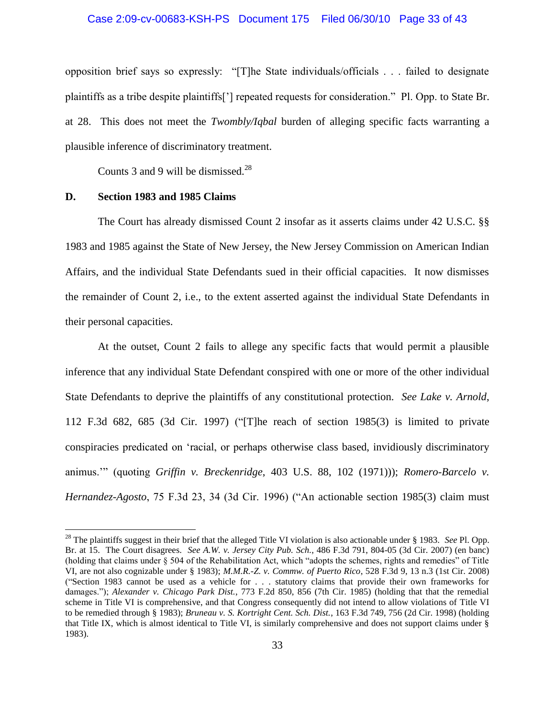#### Case 2:09-cv-00683-KSH-PS Document 175 Filed 06/30/10 Page 33 of 43

opposition brief says so expressly: "[T]he State individuals/officials . . . failed to designate plaintiffs as a tribe despite plaintiffs["] repeated requests for consideration." Pl. Opp. to State Br. at 28. This does not meet the *Twombly/Iqbal* burden of alleging specific facts warranting a plausible inference of discriminatory treatment.

Counts 3 and 9 will be dismissed.<sup>28</sup>

#### **D. Section 1983 and 1985 Claims**

 $\overline{\phantom{a}}$ 

The Court has already dismissed Count 2 insofar as it asserts claims under 42 U.S.C. §§ 1983 and 1985 against the State of New Jersey, the New Jersey Commission on American Indian Affairs, and the individual State Defendants sued in their official capacities. It now dismisses the remainder of Count 2, i.e., to the extent asserted against the individual State Defendants in their personal capacities.

At the outset, Count 2 fails to allege any specific facts that would permit a plausible inference that any individual State Defendant conspired with one or more of the other individual State Defendants to deprive the plaintiffs of any constitutional protection. *See Lake v. Arnold*, 112 F.3d 682, 685 (3d Cir. 1997) ("[T]he reach of section 1985(3) is limited to private conspiracies predicated on "racial, or perhaps otherwise class based, invidiously discriminatory animus."" (quoting *Griffin v. Breckenridge*, 403 U.S. 88, 102 (1971))); *Romero-Barcelo v. Hernandez-Agosto*, 75 F.3d 23, 34 (3d Cir. 1996) ("An actionable section 1985(3) claim must

<sup>28</sup> The plaintiffs suggest in their brief that the alleged Title VI violation is also actionable under § 1983. *See* Pl. Opp. Br. at 15. The Court disagrees. *See A.W. v. Jersey City Pub. Sch.*, 486 F.3d 791, 804-05 (3d Cir. 2007) (en banc) (holding that claims under § 504 of the Rehabilitation Act, which "adopts the schemes, rights and remedies" of Title VI, are not also cognizable under § 1983); *M.M.R.-Z. v. Commw. of Puerto Rico*, 528 F.3d 9, 13 n.3 (1st Cir. 2008) ("Section 1983 cannot be used as a vehicle for . . . statutory claims that provide their own frameworks for damages."); *Alexander v. Chicago Park Dist.*, 773 F.2d 850, 856 (7th Cir. 1985) (holding that that the remedial scheme in Title VI is comprehensive, and that Congress consequently did not intend to allow violations of Title VI to be remedied through § 1983); *Bruneau v. S. Kortright Cent. Sch. Dist.*, 163 F.3d 749, 756 (2d Cir. 1998) (holding that Title IX, which is almost identical to Title VI, is similarly comprehensive and does not support claims under § 1983).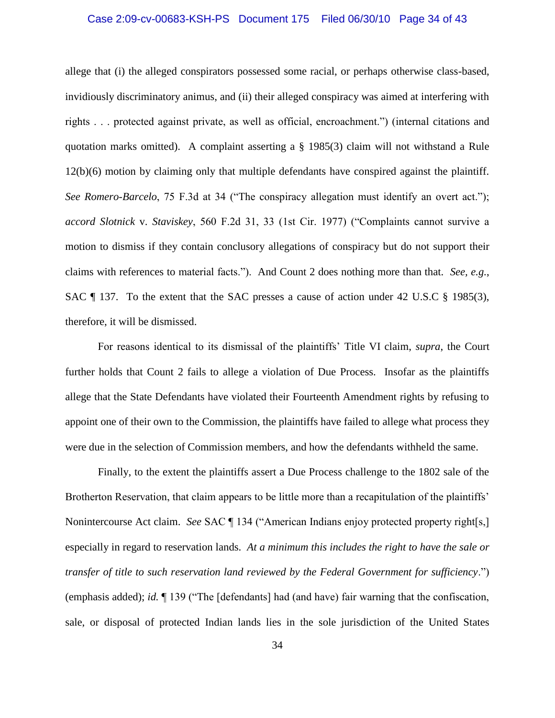#### Case 2:09-cv-00683-KSH-PS Document 175 Filed 06/30/10 Page 34 of 43

allege that (i) the alleged conspirators possessed some racial, or perhaps otherwise class-based, invidiously discriminatory animus, and (ii) their alleged conspiracy was aimed at interfering with rights . . . protected against private, as well as official, encroachment.") (internal citations and quotation marks omitted). A complaint asserting a § 1985(3) claim will not withstand a Rule 12(b)(6) motion by claiming only that multiple defendants have conspired against the plaintiff. *See Romero-Barcelo*, 75 F.3d at 34 ("The conspiracy allegation must identify an overt act."); *accord Slotnick* v. *Staviskey*, 560 F.2d 31, 33 (1st Cir. 1977) ("Complaints cannot survive a motion to dismiss if they contain conclusory allegations of conspiracy but do not support their claims with references to material facts.").And Count 2 does nothing more than that. *See, e.g.*, SAC ¶ 137. To the extent that the SAC presses a cause of action under 42 U.S.C § 1985(3), therefore, it will be dismissed.

For reasons identical to its dismissal of the plaintiffs" Title VI claim, *supra*, the Court further holds that Count 2 fails to allege a violation of Due Process. Insofar as the plaintiffs allege that the State Defendants have violated their Fourteenth Amendment rights by refusing to appoint one of their own to the Commission, the plaintiffs have failed to allege what process they were due in the selection of Commission members, and how the defendants withheld the same.

Finally, to the extent the plaintiffs assert a Due Process challenge to the 1802 sale of the Brotherton Reservation, that claim appears to be little more than a recapitulation of the plaintiffs' Nonintercourse Act claim. *See* SAC ¶ 134 ("American Indians enjoy protected property right[s,] especially in regard to reservation lands. *At a minimum this includes the right to have the sale or transfer of title to such reservation land reviewed by the Federal Government for sufficiency*.") (emphasis added); *id.* ¶ 139 ("The [defendants] had (and have) fair warning that the confiscation, sale, or disposal of protected Indian lands lies in the sole jurisdiction of the United States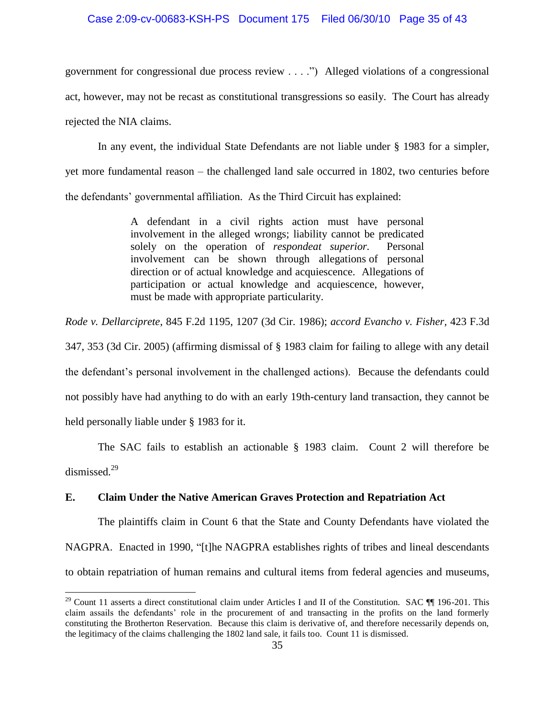#### Case 2:09-cv-00683-KSH-PS Document 175 Filed 06/30/10 Page 35 of 43

government for congressional due process review . . . .") Alleged violations of a congressional act, however, may not be recast as constitutional transgressions so easily. The Court has already rejected the NIA claims.

In any event, the individual State Defendants are not liable under § 1983 for a simpler, yet more fundamental reason – the challenged land sale occurred in 1802, two centuries before the defendants" governmental affiliation. As the Third Circuit has explained:

> A defendant in a civil rights action must have personal involvement in the alleged wrongs; liability cannot be predicated solely on the operation of *respondeat superior.* Personal involvement can be shown through allegations of personal direction or of actual knowledge and acquiescence. Allegations of participation or actual knowledge and acquiescence, however, must be made with appropriate particularity.

*Rode v. Dellarciprete*, 845 F.2d 1195, 1207 (3d Cir. 1986); *accord Evancho v. Fisher,* 423 F.3d

347, 353 (3d Cir. 2005) (affirming dismissal of § 1983 claim for failing to allege with any detail the defendant"s personal involvement in the challenged actions). Because the defendants could not possibly have had anything to do with an early 19th-century land transaction, they cannot be held personally liable under § 1983 for it.

The SAC fails to establish an actionable § 1983 claim. Count 2 will therefore be dismissed.<sup>29</sup>

## **E. Claim Under the Native American Graves Protection and Repatriation Act**

 $\overline{\phantom{a}}$ 

The plaintiffs claim in Count 6 that the State and County Defendants have violated the NAGPRA. Enacted in 1990, "[t]he NAGPRA establishes rights of tribes and lineal descendants to obtain repatriation of human remains and cultural items from federal agencies and museums,

<sup>&</sup>lt;sup>29</sup> Count 11 asserts a direct constitutional claim under Articles I and II of the Constitution. SAC  $\P$  196-201. This claim assails the defendants" role in the procurement of and transacting in the profits on the land formerly constituting the Brotherton Reservation. Because this claim is derivative of, and therefore necessarily depends on, the legitimacy of the claims challenging the 1802 land sale, it fails too. Count 11 is dismissed.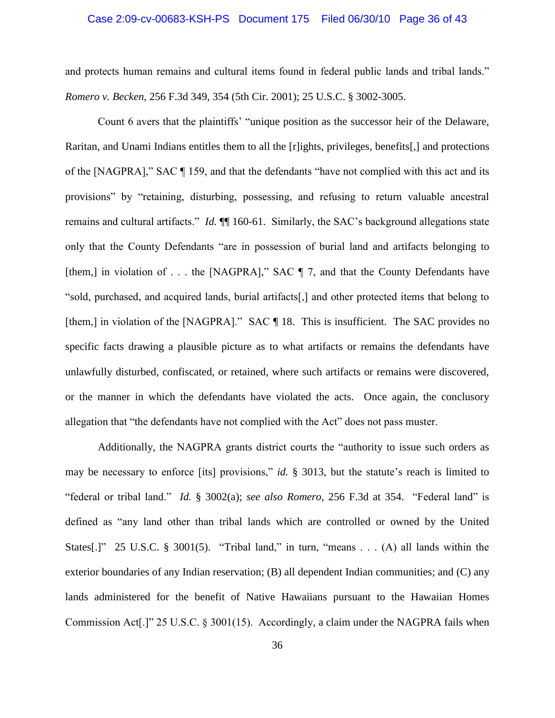#### Case 2:09-cv-00683-KSH-PS Document 175 Filed 06/30/10 Page 36 of 43

and protects human remains and cultural items found in federal public lands and tribal lands." *Romero v. Becken*, 256 F.3d 349, 354 (5th Cir. 2001); 25 U.S.C. § 3002-3005.

Count 6 avers that the plaintiffs" "unique position as the successor heir of the Delaware, Raritan, and Unami Indians entitles them to all the [r]ights, privileges, benefits[,] and protections of the [NAGPRA]," SAC ¶ 159, and that the defendants "have not complied with this act and its provisions" by "retaining, disturbing, possessing, and refusing to return valuable ancestral remains and cultural artifacts." *Id.* ¶¶ 160-61. Similarly, the SAC"s background allegations state only that the County Defendants "are in possession of burial land and artifacts belonging to [them,] in violation of . . . the [NAGPRA]," SAC  $\P$  7, and that the County Defendants have "sold, purchased, and acquired lands, burial artifacts[,] and other protected items that belong to [them,] in violation of the [NAGPRA]." SAC ¶ 18. This is insufficient. The SAC provides no specific facts drawing a plausible picture as to what artifacts or remains the defendants have unlawfully disturbed, confiscated, or retained, where such artifacts or remains were discovered, or the manner in which the defendants have violated the acts. Once again, the conclusory allegation that "the defendants have not complied with the Act" does not pass muster.

Additionally, the NAGPRA grants district courts the "authority to issue such orders as may be necessary to enforce [its] provisions," *id.* § 3013, but the statute's reach is limited to "federal or tribal land." *Id.* § 3002(a); *see also Romero*, 256 F.3d at 354. "Federal land" is defined as "any land other than tribal lands which are controlled or owned by the United States[.]" 25 U.S.C. § 3001(5). "Tribal land," in turn, "means . . . (A) all lands within the exterior boundaries of any Indian reservation; (B) all dependent Indian communities; and (C) any lands administered for the benefit of Native Hawaiians pursuant to the Hawaiian Homes Commission Act[.]" 25 U.S.C. § 3001(15). Accordingly, a claim under the NAGPRA fails when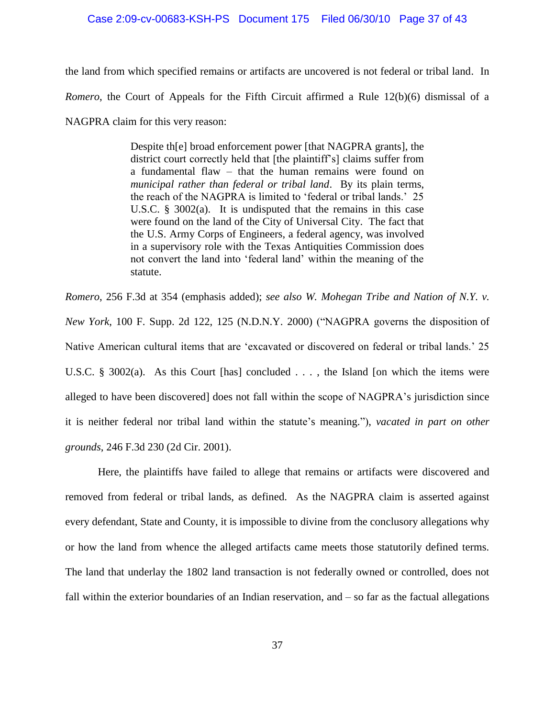#### Case 2:09-cv-00683-KSH-PS Document 175 Filed 06/30/10 Page 37 of 43

the land from which specified remains or artifacts are uncovered is not federal or tribal land. In *Romero*, the Court of Appeals for the Fifth Circuit affirmed a Rule 12(b)(6) dismissal of a NAGPRA claim for this very reason:

> Despite th[e] broad enforcement power [that NAGPRA grants], the district court correctly held that [the plaintiff"s] claims suffer from a fundamental flaw – that the human remains were found on *municipal rather than federal or tribal land*. By its plain terms, the reach of the NAGPRA is limited to "federal or tribal lands." 25 U.S.C. § 3002(a). It is undisputed that the remains in this case were found on the land of the City of Universal City. The fact that the U.S. Army Corps of Engineers, a federal agency, was involved in a supervisory role with the Texas Antiquities Commission does not convert the land into "federal land" within the meaning of the statute.

*Romero*, 256 F.3d at 354 (emphasis added); *see also W. Mohegan Tribe and Nation of N.Y. v. New York*, 100 F. Supp. 2d 122, 125 (N.D.N.Y. 2000) ("NAGPRA governs the disposition of Native American cultural items that are "excavated or discovered on federal or tribal lands." 25 U.S.C. § 3002(a). As this Court [has] concluded . . . , the Island [on which the items were alleged to have been discovered] does not fall within the scope of NAGPRA"s jurisdiction since it is neither federal nor tribal land within the statute"s meaning."), *vacated in part on other grounds*, 246 F.3d 230 (2d Cir. 2001).

Here, the plaintiffs have failed to allege that remains or artifacts were discovered and removed from federal or tribal lands, as defined. As the NAGPRA claim is asserted against every defendant, State and County, it is impossible to divine from the conclusory allegations why or how the land from whence the alleged artifacts came meets those statutorily defined terms. The land that underlay the 1802 land transaction is not federally owned or controlled, does not fall within the exterior boundaries of an Indian reservation, and – so far as the factual allegations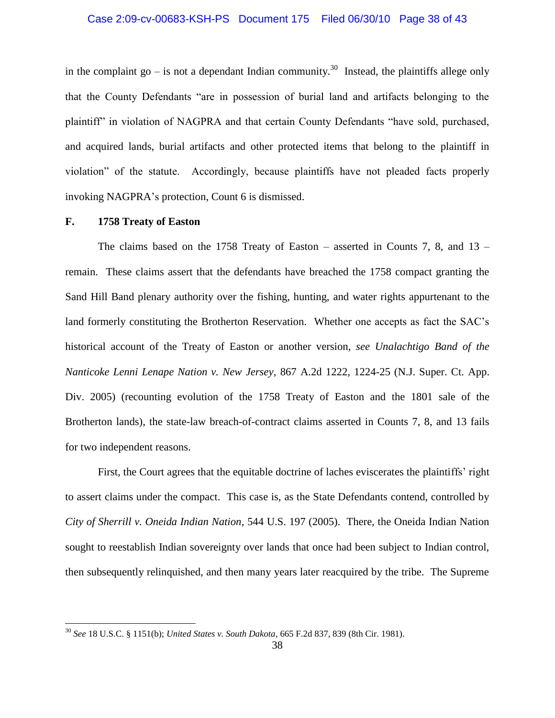#### Case 2:09-cv-00683-KSH-PS Document 175 Filed 06/30/10 Page 38 of 43

in the complaint go – is not a dependant Indian community.<sup>30</sup> Instead, the plaintiffs allege only that the County Defendants "are in possession of burial land and artifacts belonging to the plaintiff" in violation of NAGPRA and that certain County Defendants "have sold, purchased, and acquired lands, burial artifacts and other protected items that belong to the plaintiff in violation" of the statute. Accordingly, because plaintiffs have not pleaded facts properly invoking NAGPRA"s protection, Count 6 is dismissed.

#### **F. 1758 Treaty of Easton**

 $\overline{\phantom{a}}$ 

The claims based on the 1758 Treaty of Easton – asserted in Counts 7, 8, and  $13$  – remain. These claims assert that the defendants have breached the 1758 compact granting the Sand Hill Band plenary authority over the fishing, hunting, and water rights appurtenant to the land formerly constituting the Brotherton Reservation. Whether one accepts as fact the SAC"s historical account of the Treaty of Easton or another version, *see Unalachtigo Band of the Nanticoke Lenni Lenape Nation v. New Jersey*, 867 A.2d 1222, 1224-25 (N.J. Super. Ct. App. Div. 2005) (recounting evolution of the 1758 Treaty of Easton and the 1801 sale of the Brotherton lands), the state-law breach-of-contract claims asserted in Counts 7, 8, and 13 fails for two independent reasons.

First, the Court agrees that the equitable doctrine of laches eviscerates the plaintiffs' right to assert claims under the compact. This case is, as the State Defendants contend, controlled by *City of Sherrill v. Oneida Indian Nation*, 544 U.S. 197 (2005). There, the Oneida Indian Nation sought to reestablish Indian sovereignty over lands that once had been subject to Indian control, then subsequently relinquished, and then many years later reacquired by the tribe. The Supreme

<sup>30</sup> *See* 18 U.S.C. § 1151(b); *United States v. South Dakota*, 665 F.2d 837, 839 (8th Cir. 1981).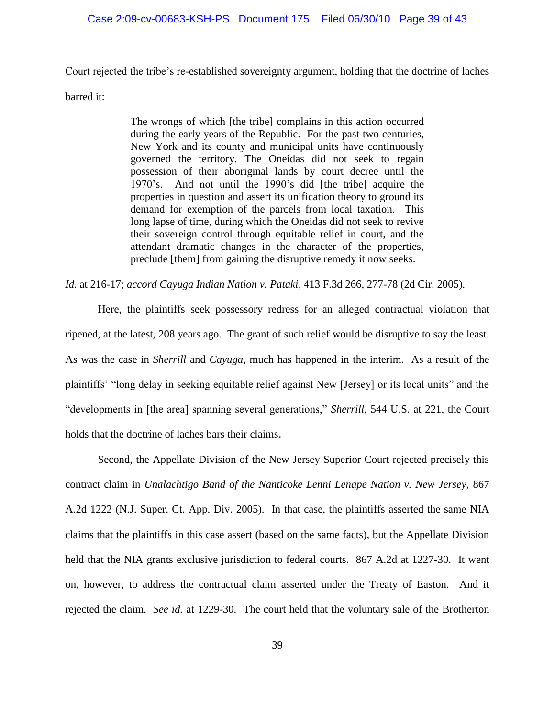#### Case 2:09-cv-00683-KSH-PS Document 175 Filed 06/30/10 Page 39 of 43

Court rejected the tribe"s re-established sovereignty argument, holding that the doctrine of laches

barred it:

The wrongs of which [the tribe] complains in this action occurred during the early years of the Republic. For the past two centuries, New York and its county and municipal units have continuously governed the territory. The Oneidas did not seek to regain possession of their aboriginal lands by court decree until the 1970"s. And not until the 1990"s did [the tribe] acquire the properties in question and assert its unification theory to ground its demand for exemption of the parcels from local taxation. This long lapse of time, during which the Oneidas did not seek to revive their sovereign control through equitable relief in court, and the attendant dramatic changes in the character of the properties, preclude [them] from gaining the disruptive remedy it now seeks.

*Id.* at 216-17; *accord Cayuga Indian Nation v. Pataki*, 413 F.3d 266, 277-78 (2d Cir. 2005).

Here, the plaintiffs seek possessory redress for an alleged contractual violation that ripened, at the latest, 208 years ago. The grant of such relief would be disruptive to say the least. As was the case in *Sherrill* and *Cayuga*, much has happened in the interim. As a result of the plaintiffs" "long delay in seeking equitable relief against New [Jersey] or its local units" and the "developments in [the area] spanning several generations," *Sherrill*, 544 U.S. at 221, the Court holds that the doctrine of laches bars their claims.

Second, the Appellate Division of the New Jersey Superior Court rejected precisely this contract claim in *Unalachtigo Band of the Nanticoke Lenni Lenape Nation v. New Jersey*, 867 A.2d 1222 (N.J. Super. Ct. App. Div. 2005). In that case, the plaintiffs asserted the same NIA claims that the plaintiffs in this case assert (based on the same facts), but the Appellate Division held that the NIA grants exclusive jurisdiction to federal courts. 867 A.2d at 1227-30. It went on, however, to address the contractual claim asserted under the Treaty of Easton. And it rejected the claim. *See id.* at 1229-30. The court held that the voluntary sale of the Brotherton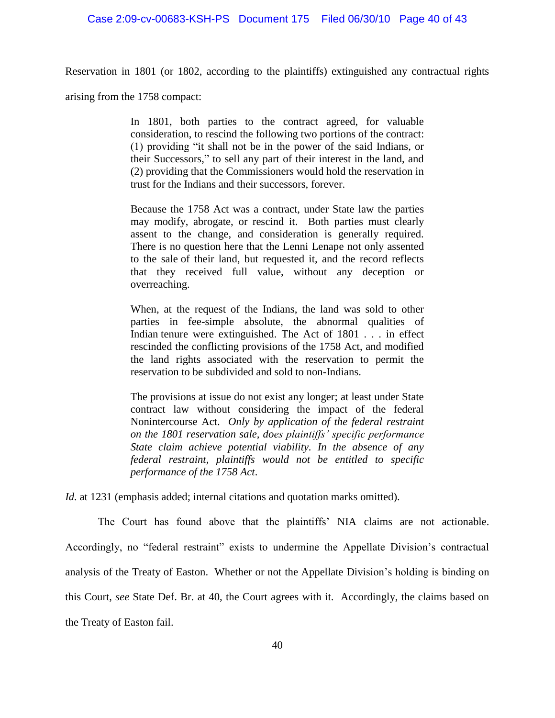Reservation in 1801 (or 1802, according to the plaintiffs) extinguished any contractual rights

arising from the 1758 compact:

In 1801, both parties to the contract agreed, for valuable consideration, to rescind the following two portions of the contract: (1) providing "it shall not be in the power of the said Indians, or their Successors," to sell any part of their interest in the land, and (2) providing that the Commissioners would hold the reservation in trust for the Indians and their successors, forever.

Because the 1758 Act was a contract, under State law the parties may modify, abrogate, or rescind it. Both parties must clearly assent to the change, and consideration is generally required. There is no question here that the Lenni Lenape not only assented to the sale of their land, but requested it, and the record reflects that they received full value, without any deception or overreaching.

When, at the request of the Indians, the land was sold to other parties in fee-simple absolute, the abnormal qualities of Indian tenure were extinguished. The Act of 1801 . . . in effect rescinded the conflicting provisions of the 1758 Act, and modified the land rights associated with the reservation to permit the reservation to be subdivided and sold to non-Indians.

The provisions at issue do not exist any longer; at least under State contract law without considering the impact of the federal Nonintercourse Act. *Only by application of the federal restraint on the 1801 reservation sale, does plaintiffs' specific performance State claim achieve potential viability. In the absence of any federal restraint, plaintiffs would not be entitled to specific performance of the 1758 Act*.

*Id.* at 1231 (emphasis added; internal citations and quotation marks omitted).

The Court has found above that the plaintiffs" NIA claims are not actionable. Accordingly, no "federal restraint" exists to undermine the Appellate Division's contractual analysis of the Treaty of Easton. Whether or not the Appellate Division"s holding is binding on this Court, *see* State Def. Br. at 40, the Court agrees with it. Accordingly, the claims based on the Treaty of Easton fail.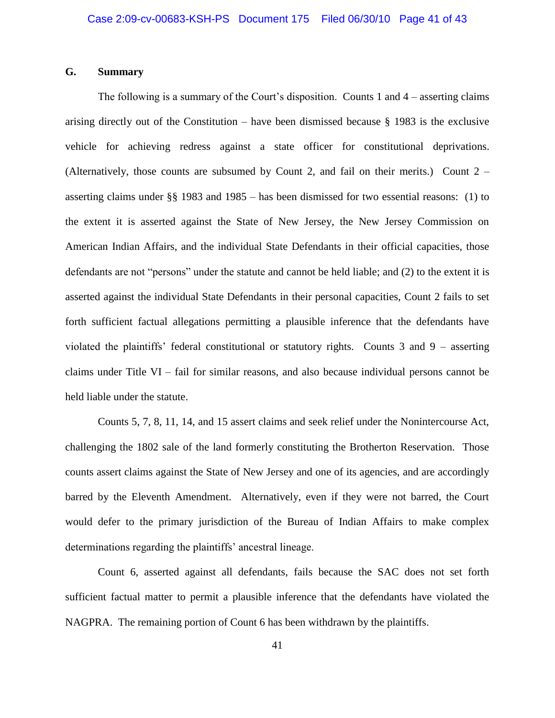## **G. Summary**

The following is a summary of the Court's disposition. Counts 1 and  $4$  – asserting claims arising directly out of the Constitution – have been dismissed because § 1983 is the exclusive vehicle for achieving redress against a state officer for constitutional deprivations. (Alternatively, those counts are subsumed by Count 2, and fail on their merits.) Count 2 – asserting claims under §§ 1983 and 1985 – has been dismissed for two essential reasons: (1) to the extent it is asserted against the State of New Jersey, the New Jersey Commission on American Indian Affairs, and the individual State Defendants in their official capacities, those defendants are not "persons" under the statute and cannot be held liable; and (2) to the extent it is asserted against the individual State Defendants in their personal capacities, Count 2 fails to set forth sufficient factual allegations permitting a plausible inference that the defendants have violated the plaintiffs" federal constitutional or statutory rights. Counts 3 and 9 – asserting claims under Title VI – fail for similar reasons, and also because individual persons cannot be held liable under the statute.

Counts 5, 7, 8, 11, 14, and 15 assert claims and seek relief under the Nonintercourse Act, challenging the 1802 sale of the land formerly constituting the Brotherton Reservation. Those counts assert claims against the State of New Jersey and one of its agencies, and are accordingly barred by the Eleventh Amendment. Alternatively, even if they were not barred, the Court would defer to the primary jurisdiction of the Bureau of Indian Affairs to make complex determinations regarding the plaintiffs' ancestral lineage.

Count 6, asserted against all defendants, fails because the SAC does not set forth sufficient factual matter to permit a plausible inference that the defendants have violated the NAGPRA. The remaining portion of Count 6 has been withdrawn by the plaintiffs.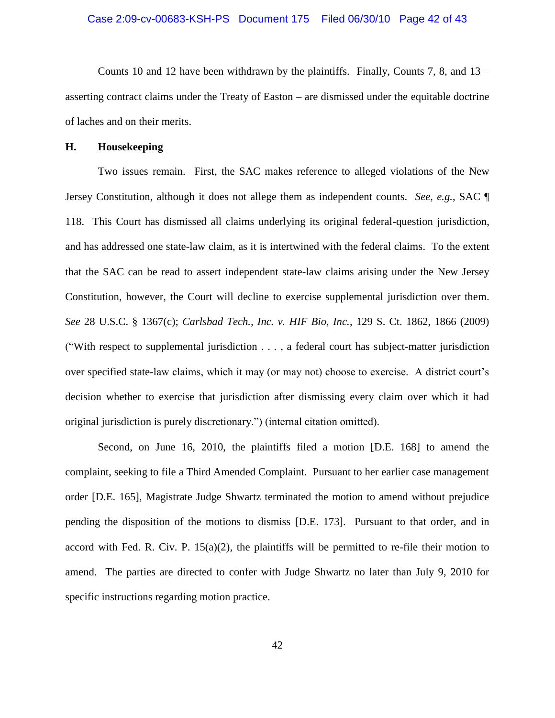#### Case 2:09-cv-00683-KSH-PS Document 175 Filed 06/30/10 Page 42 of 43

Counts 10 and 12 have been withdrawn by the plaintiffs. Finally, Counts 7, 8, and  $13$ asserting contract claims under the Treaty of Easton – are dismissed under the equitable doctrine of laches and on their merits.

#### **H. Housekeeping**

Two issues remain. First, the SAC makes reference to alleged violations of the New Jersey Constitution, although it does not allege them as independent counts. *See, e.g.*, SAC ¶ 118. This Court has dismissed all claims underlying its original federal-question jurisdiction, and has addressed one state-law claim, as it is intertwined with the federal claims. To the extent that the SAC can be read to assert independent state-law claims arising under the New Jersey Constitution, however, the Court will decline to exercise supplemental jurisdiction over them. *See* 28 U.S.C. § 1367(c); *Carlsbad Tech., Inc. v. HIF Bio, Inc.*, 129 S. Ct. 1862, 1866 (2009) ("With respect to supplemental jurisdiction . . . , a federal court has subject-matter jurisdiction over specified state-law claims, which it may (or may not) choose to exercise. A district court"s decision whether to exercise that jurisdiction after dismissing every claim over which it had original jurisdiction is purely discretionary.") (internal citation omitted).

Second, on June 16, 2010, the plaintiffs filed a motion [D.E. 168] to amend the complaint, seeking to file a Third Amended Complaint. Pursuant to her earlier case management order [D.E. 165], Magistrate Judge Shwartz terminated the motion to amend without prejudice pending the disposition of the motions to dismiss [D.E. 173]. Pursuant to that order, and in accord with Fed. R. Civ. P.  $15(a)(2)$ , the plaintiffs will be permitted to re-file their motion to amend. The parties are directed to confer with Judge Shwartz no later than July 9, 2010 for specific instructions regarding motion practice.